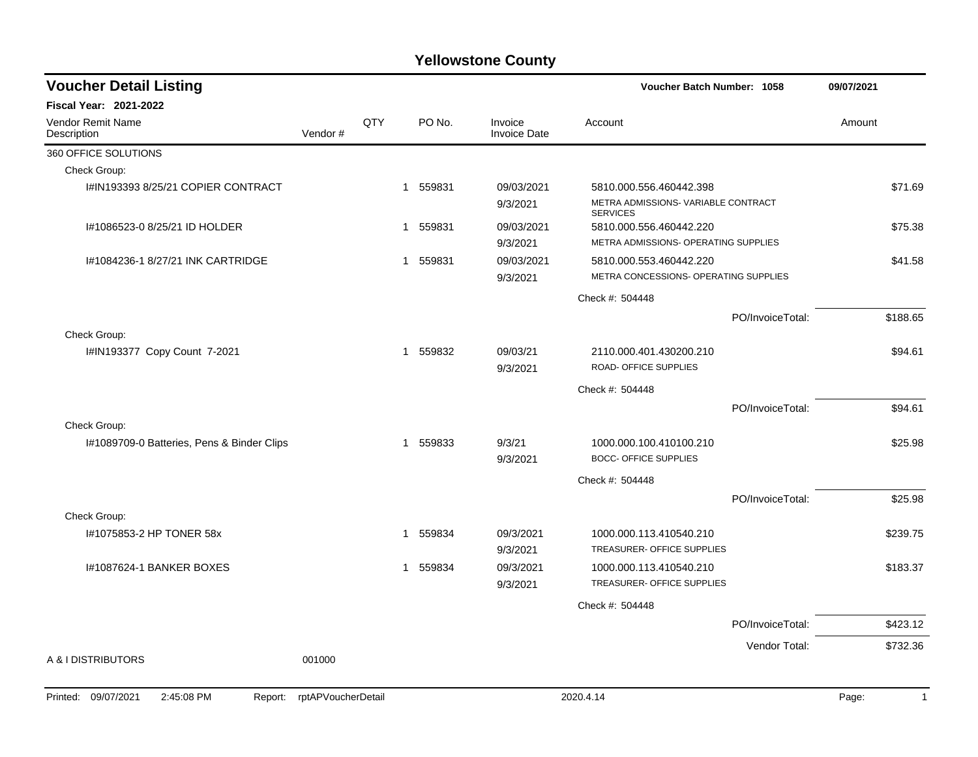| <b>Voucher Detail Listing</b>                |                    |              |        |                                | Voucher Batch Number: 1058                                                        |                  | 09/07/2021 |
|----------------------------------------------|--------------------|--------------|--------|--------------------------------|-----------------------------------------------------------------------------------|------------------|------------|
| <b>Fiscal Year: 2021-2022</b>                |                    |              |        |                                |                                                                                   |                  |            |
| Vendor Remit Name<br>Description             | Vendor#            | QTY          | PO No. | Invoice<br><b>Invoice Date</b> | Account                                                                           |                  | Amount     |
| 360 OFFICE SOLUTIONS                         |                    |              |        |                                |                                                                                   |                  |            |
| Check Group:                                 |                    |              |        |                                |                                                                                   |                  |            |
| I#IN193393 8/25/21 COPIER CONTRACT           |                    | $\mathbf{1}$ | 559831 | 09/03/2021<br>9/3/2021         | 5810.000.556.460442.398<br>METRA ADMISSIONS- VARIABLE CONTRACT<br><b>SERVICES</b> |                  | \$71.69    |
| I#1086523-0 8/25/21 ID HOLDER                |                    | 1            | 559831 | 09/03/2021<br>9/3/2021         | 5810.000.556.460442.220<br>METRA ADMISSIONS- OPERATING SUPPLIES                   |                  | \$75.38    |
| I#1084236-1 8/27/21 INK CARTRIDGE            |                    | 1            | 559831 | 09/03/2021<br>9/3/2021         | 5810.000.553.460442.220<br>METRA CONCESSIONS- OPERATING SUPPLIES                  |                  | \$41.58    |
|                                              |                    |              |        |                                | Check #: 504448                                                                   |                  |            |
|                                              |                    |              |        |                                |                                                                                   | PO/InvoiceTotal: | \$188.65   |
| Check Group:                                 |                    |              |        |                                |                                                                                   |                  |            |
| I#IN193377 Copy Count 7-2021                 |                    | $\mathbf{1}$ | 559832 | 09/03/21<br>9/3/2021           | 2110.000.401.430200.210<br>ROAD- OFFICE SUPPLIES                                  |                  | \$94.61    |
|                                              |                    |              |        |                                | Check #: 504448                                                                   |                  |            |
|                                              |                    |              |        |                                |                                                                                   | PO/InvoiceTotal: | \$94.61    |
| Check Group:                                 |                    |              |        |                                |                                                                                   |                  |            |
| I#1089709-0 Batteries, Pens & Binder Clips   |                    | 1            | 559833 | 9/3/21<br>9/3/2021             | 1000.000.100.410100.210<br><b>BOCC- OFFICE SUPPLIES</b>                           |                  | \$25.98    |
|                                              |                    |              |        |                                | Check #: 504448                                                                   |                  |            |
|                                              |                    |              |        |                                |                                                                                   | PO/InvoiceTotal: | \$25.98    |
| Check Group:                                 |                    |              |        |                                |                                                                                   |                  |            |
| I#1075853-2 HP TONER 58x                     |                    | $\mathbf{1}$ | 559834 | 09/3/2021<br>9/3/2021          | 1000.000.113.410540.210<br>TREASURER- OFFICE SUPPLIES                             |                  | \$239.75   |
| 1#1087624-1 BANKER BOXES                     |                    | $\mathbf 1$  | 559834 | 09/3/2021<br>9/3/2021          | 1000.000.113.410540.210<br>TREASURER- OFFICE SUPPLIES                             |                  | \$183.37   |
|                                              |                    |              |        |                                | Check #: 504448                                                                   |                  |            |
|                                              |                    |              |        |                                |                                                                                   | PO/InvoiceTotal: | \$423.12   |
|                                              |                    |              |        |                                |                                                                                   | Vendor Total:    | \$732.36   |
| A & I DISTRIBUTORS                           | 001000             |              |        |                                |                                                                                   |                  |            |
| Printed: 09/07/2021<br>2:45:08 PM<br>Report: | rptAPVoucherDetail |              |        |                                | 2020.4.14                                                                         |                  | Page:<br>1 |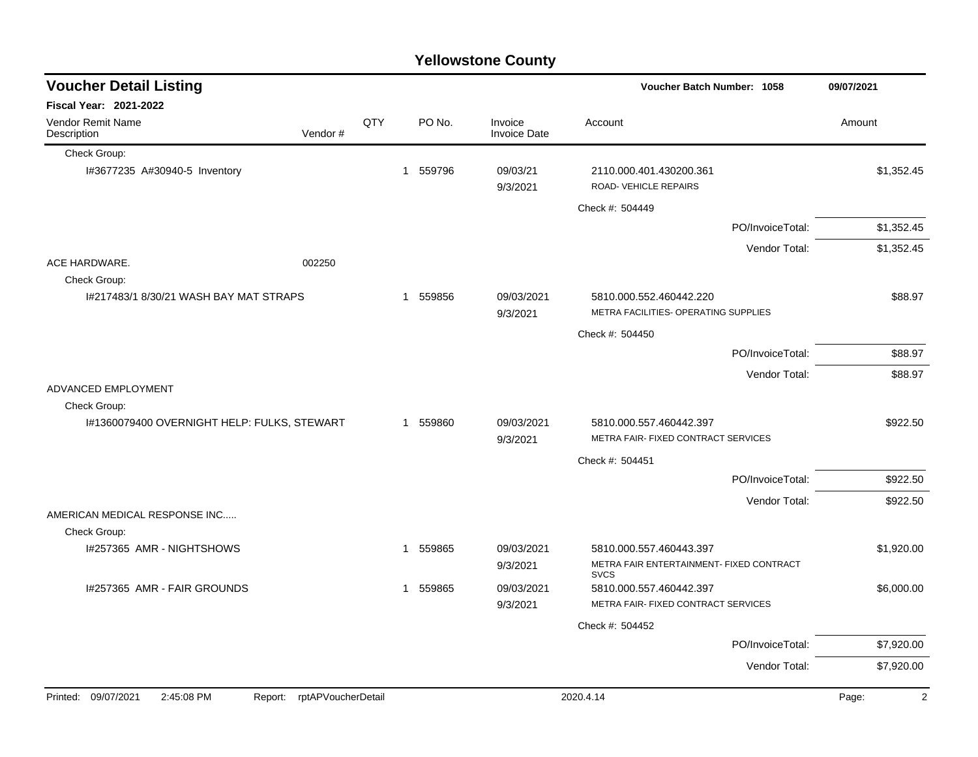| <b>Yellowstone County</b>                   |         |     |             |                                |                                                                     |                  |            |  |  |  |  |  |
|---------------------------------------------|---------|-----|-------------|--------------------------------|---------------------------------------------------------------------|------------------|------------|--|--|--|--|--|
| <b>Voucher Detail Listing</b>               |         |     |             |                                | Voucher Batch Number: 1058                                          |                  | 09/07/2021 |  |  |  |  |  |
| <b>Fiscal Year: 2021-2022</b>               |         |     |             |                                |                                                                     |                  |            |  |  |  |  |  |
| Vendor Remit Name<br>Description            | Vendor# | QTY | PO No.      | Invoice<br><b>Invoice Date</b> | Account                                                             |                  | Amount     |  |  |  |  |  |
| Check Group:                                |         |     |             |                                |                                                                     |                  |            |  |  |  |  |  |
| I#3677235 A#30940-5 Inventory               |         |     | 559796<br>1 | 09/03/21<br>9/3/2021           | 2110.000.401.430200.361<br><b>ROAD-VEHICLE REPAIRS</b>              |                  | \$1,352.45 |  |  |  |  |  |
|                                             |         |     |             |                                | Check #: 504449                                                     |                  |            |  |  |  |  |  |
|                                             |         |     |             |                                |                                                                     | PO/InvoiceTotal: | \$1,352.45 |  |  |  |  |  |
|                                             |         |     |             |                                |                                                                     | Vendor Total:    | \$1,352.45 |  |  |  |  |  |
| ACE HARDWARE.<br>Check Group:               | 002250  |     |             |                                |                                                                     |                  |            |  |  |  |  |  |
| 1#217483/1 8/30/21 WASH BAY MAT STRAPS      |         |     | 559856<br>1 | 09/03/2021<br>9/3/2021         | 5810.000.552.460442.220<br>METRA FACILITIES- OPERATING SUPPLIES     |                  | \$88.97    |  |  |  |  |  |
|                                             |         |     |             |                                | Check #: 504450                                                     |                  |            |  |  |  |  |  |
|                                             |         |     |             |                                |                                                                     | PO/InvoiceTotal: | \$88.97    |  |  |  |  |  |
|                                             |         |     |             |                                |                                                                     | Vendor Total:    | \$88.97    |  |  |  |  |  |
| ADVANCED EMPLOYMENT                         |         |     |             |                                |                                                                     |                  |            |  |  |  |  |  |
| Check Group:                                |         |     |             |                                |                                                                     |                  |            |  |  |  |  |  |
| I#1360079400 OVERNIGHT HELP: FULKS, STEWART |         |     | 1 559860    | 09/03/2021<br>9/3/2021         | 5810.000.557.460442.397<br>METRA FAIR- FIXED CONTRACT SERVICES      |                  | \$922.50   |  |  |  |  |  |
|                                             |         |     |             |                                | Check #: 504451                                                     |                  |            |  |  |  |  |  |
|                                             |         |     |             |                                |                                                                     | PO/InvoiceTotal: | \$922.50   |  |  |  |  |  |
|                                             |         |     |             |                                |                                                                     | Vendor Total:    | \$922.50   |  |  |  |  |  |
| AMERICAN MEDICAL RESPONSE INC               |         |     |             |                                |                                                                     |                  |            |  |  |  |  |  |
| Check Group:                                |         |     |             |                                |                                                                     |                  |            |  |  |  |  |  |
| I#257365 AMR - NIGHTSHOWS                   |         |     | 559865<br>1 | 09/03/2021                     | 5810.000.557.460443.397<br>METRA FAIR ENTERTAINMENT- FIXED CONTRACT |                  | \$1,920.00 |  |  |  |  |  |
|                                             |         |     |             | 9/3/2021                       | <b>SVCS</b>                                                         |                  |            |  |  |  |  |  |
| 1#257365 AMR - FAIR GROUNDS                 |         |     | 559865<br>1 | 09/03/2021                     | 5810.000.557.460442.397<br>METRA FAIR- FIXED CONTRACT SERVICES      |                  | \$6,000.00 |  |  |  |  |  |
|                                             |         |     |             | 9/3/2021                       |                                                                     |                  |            |  |  |  |  |  |
|                                             |         |     |             |                                | Check #: 504452                                                     |                  |            |  |  |  |  |  |
|                                             |         |     |             |                                |                                                                     | PO/InvoiceTotal: | \$7,920.00 |  |  |  |  |  |
|                                             |         |     |             |                                |                                                                     | Vendor Total:    | \$7,920.00 |  |  |  |  |  |
|                                             |         |     |             |                                |                                                                     |                  |            |  |  |  |  |  |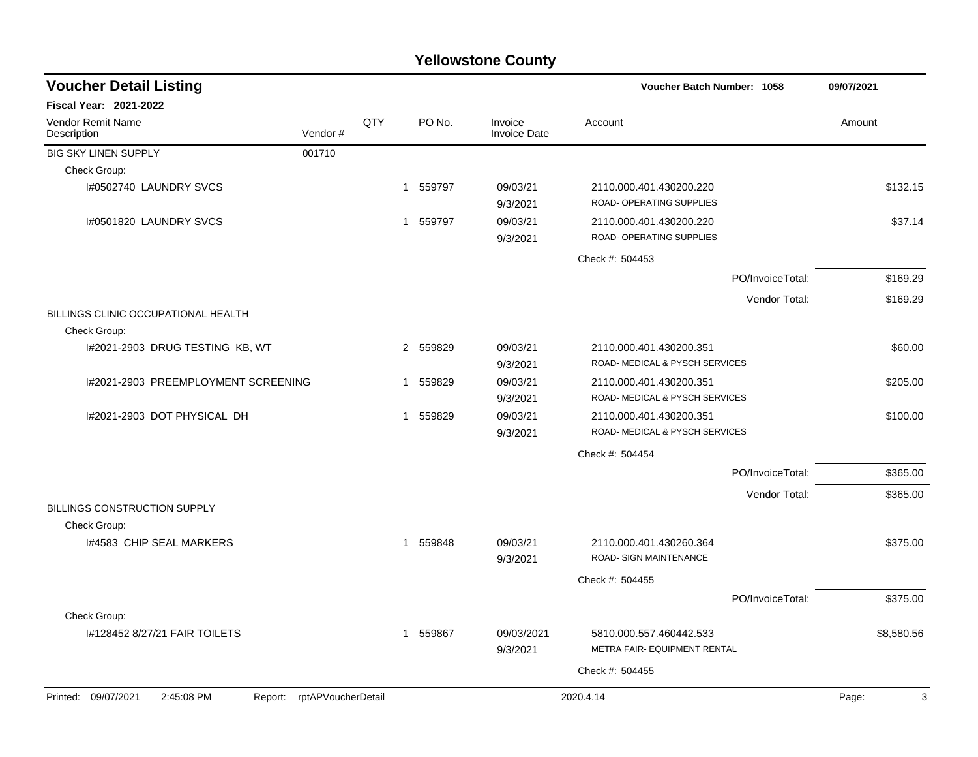| <b>Voucher Detail Listing</b>                       |                            |     |                       |                                | Voucher Batch Number: 1058                                |                  | 09/07/2021 |
|-----------------------------------------------------|----------------------------|-----|-----------------------|--------------------------------|-----------------------------------------------------------|------------------|------------|
| Fiscal Year: 2021-2022                              |                            |     |                       |                                |                                                           |                  |            |
| Vendor Remit Name<br>Description                    | Vendor#                    | QTY | PO No.                | Invoice<br><b>Invoice Date</b> | Account                                                   |                  | Amount     |
| <b>BIG SKY LINEN SUPPLY</b>                         | 001710                     |     |                       |                                |                                                           |                  |            |
| Check Group:                                        |                            |     |                       |                                |                                                           |                  |            |
| I#0502740 LAUNDRY SVCS                              |                            |     | 1 559797              | 09/03/21<br>9/3/2021           | 2110.000.401.430200.220<br>ROAD- OPERATING SUPPLIES       |                  | \$132.15   |
| I#0501820 LAUNDRY SVCS                              |                            |     | 1 559797              | 09/03/21<br>9/3/2021           | 2110.000.401.430200.220<br>ROAD- OPERATING SUPPLIES       |                  | \$37.14    |
|                                                     |                            |     |                       |                                | Check #: 504453                                           |                  |            |
|                                                     |                            |     |                       |                                |                                                           | PO/InvoiceTotal: | \$169.29   |
|                                                     |                            |     |                       |                                |                                                           | Vendor Total:    | \$169.29   |
| BILLINGS CLINIC OCCUPATIONAL HEALTH<br>Check Group: |                            |     |                       |                                |                                                           |                  |            |
| I#2021-2903 DRUG TESTING KB, WT                     |                            |     | 2 559829              | 09/03/21<br>9/3/2021           | 2110.000.401.430200.351<br>ROAD- MEDICAL & PYSCH SERVICES |                  | \$60.00    |
| 1#2021-2903 PREEMPLOYMENT SCREENING                 |                            |     | 1 559829              | 09/03/21<br>9/3/2021           | 2110.000.401.430200.351<br>ROAD- MEDICAL & PYSCH SERVICES |                  | \$205.00   |
| I#2021-2903 DOT PHYSICAL DH                         |                            |     | 1 559829              | 09/03/21<br>9/3/2021           | 2110.000.401.430200.351<br>ROAD- MEDICAL & PYSCH SERVICES |                  | \$100.00   |
|                                                     |                            |     |                       |                                | Check #: 504454                                           |                  |            |
|                                                     |                            |     |                       |                                |                                                           | PO/InvoiceTotal: | \$365.00   |
|                                                     |                            |     |                       |                                |                                                           | Vendor Total:    | \$365.00   |
| BILLINGS CONSTRUCTION SUPPLY<br>Check Group:        |                            |     |                       |                                |                                                           |                  |            |
| 1#4583 CHIP SEAL MARKERS                            |                            |     | 1 559848              | 09/03/21<br>9/3/2021           | 2110.000.401.430260.364<br>ROAD- SIGN MAINTENANCE         |                  | \$375.00   |
|                                                     |                            |     |                       |                                | Check #: 504455                                           |                  |            |
|                                                     |                            |     |                       |                                |                                                           | PO/InvoiceTotal: | \$375.00   |
| Check Group:                                        |                            |     |                       |                                |                                                           |                  |            |
| 1#128452 8/27/21 FAIR TOILETS                       |                            |     | 559867<br>$\mathbf 1$ | 09/03/2021<br>9/3/2021         | 5810.000.557.460442.533<br>METRA FAIR- EQUIPMENT RENTAL   |                  | \$8,580.56 |
|                                                     |                            |     |                       |                                | Check #: 504455                                           |                  |            |
| Printed: 09/07/2021<br>2:45:08 PM                   | Report: rptAPVoucherDetail |     |                       |                                | 2020.4.14                                                 |                  | 3<br>Page: |
|                                                     |                            |     |                       |                                |                                                           |                  |            |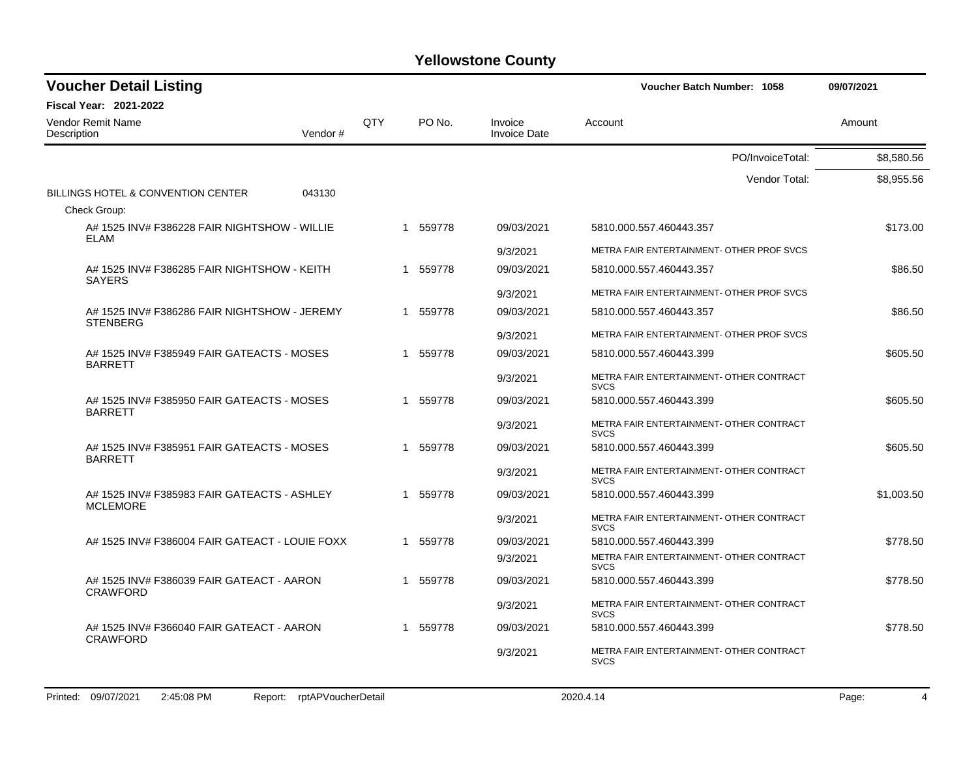| <b>Voucher Detail Listing</b>                                  |     |          |                                | Voucher Batch Number: 1058                              | 09/07/2021 |
|----------------------------------------------------------------|-----|----------|--------------------------------|---------------------------------------------------------|------------|
| <b>Fiscal Year: 2021-2022</b>                                  |     |          |                                |                                                         |            |
| <b>Vendor Remit Name</b><br>Description<br>Vendor#             | QTY | PO No.   | Invoice<br><b>Invoice Date</b> | Account                                                 | Amount     |
|                                                                |     |          |                                | PO/InvoiceTotal:                                        | \$8,580.56 |
|                                                                |     |          |                                | Vendor Total:                                           | \$8,955.56 |
| BILLINGS HOTEL & CONVENTION CENTER<br>043130                   |     |          |                                |                                                         |            |
| Check Group:                                                   |     |          |                                |                                                         |            |
| A# 1525 INV# F386228 FAIR NIGHTSHOW - WILLIE<br>ELAM           |     | 1 559778 | 09/03/2021                     | 5810.000.557.460443.357                                 | \$173.00   |
|                                                                |     |          | 9/3/2021                       | METRA FAIR ENTERTAINMENT- OTHER PROF SVCS               |            |
| A# 1525 INV# F386285 FAIR NIGHTSHOW - KEITH<br><b>SAYERS</b>   |     | 1 559778 | 09/03/2021                     | 5810.000.557.460443.357                                 | \$86.50    |
|                                                                |     |          | 9/3/2021                       | METRA FAIR ENTERTAINMENT- OTHER PROF SVCS               |            |
| A# 1525 INV# F386286 FAIR NIGHTSHOW - JEREMY                   |     | 1 559778 | 09/03/2021                     | 5810.000.557.460443.357                                 | \$86.50    |
| <b>STENBERG</b>                                                |     |          | 9/3/2021                       | METRA FAIR ENTERTAINMENT- OTHER PROF SVCS               |            |
| A# 1525 INV# F385949 FAIR GATEACTS - MOSES<br><b>BARRETT</b>   |     | 1 559778 | 09/03/2021                     | 5810.000.557.460443.399                                 | \$605.50   |
|                                                                |     |          | 9/3/2021                       | METRA FAIR ENTERTAINMENT- OTHER CONTRACT<br><b>SVCS</b> |            |
| A# 1525 INV# F385950 FAIR GATEACTS - MOSES<br><b>BARRETT</b>   |     | 1 559778 | 09/03/2021                     | 5810.000.557.460443.399                                 | \$605.50   |
|                                                                |     |          | 9/3/2021                       | METRA FAIR ENTERTAINMENT- OTHER CONTRACT<br><b>SVCS</b> |            |
| A# 1525 INV# F385951 FAIR GATEACTS - MOSES<br><b>BARRETT</b>   |     | 1 559778 | 09/03/2021                     | 5810.000.557.460443.399                                 | \$605.50   |
|                                                                |     |          | 9/3/2021                       | METRA FAIR ENTERTAINMENT- OTHER CONTRACT<br><b>SVCS</b> |            |
| A# 1525 INV# F385983 FAIR GATEACTS - ASHLEY<br><b>MCLEMORE</b> |     | 1 559778 | 09/03/2021                     | 5810.000.557.460443.399                                 | \$1,003.50 |
|                                                                |     |          | 9/3/2021                       | METRA FAIR ENTERTAINMENT- OTHER CONTRACT<br><b>SVCS</b> |            |
| A# 1525 INV# F386004 FAIR GATEACT - LOUIE FOXX                 |     | 1 559778 | 09/03/2021                     | 5810.000.557.460443.399                                 | \$778.50   |
|                                                                |     |          | 9/3/2021                       | METRA FAIR ENTERTAINMENT- OTHER CONTRACT<br><b>SVCS</b> |            |
| A# 1525 INV# F386039 FAIR GATEACT - AARON<br><b>CRAWFORD</b>   |     | 1 559778 | 09/03/2021                     | 5810.000.557.460443.399                                 | \$778.50   |
|                                                                |     |          | 9/3/2021                       | METRA FAIR ENTERTAINMENT- OTHER CONTRACT<br><b>SVCS</b> |            |
| A# 1525 INV# F366040 FAIR GATEACT - AARON<br><b>CRAWFORD</b>   |     | 1 559778 | 09/03/2021                     | 5810.000.557.460443.399                                 | \$778.50   |
|                                                                |     |          | 9/3/2021                       | METRA FAIR ENTERTAINMENT- OTHER CONTRACT<br><b>SVCS</b> |            |
|                                                                |     |          |                                |                                                         |            |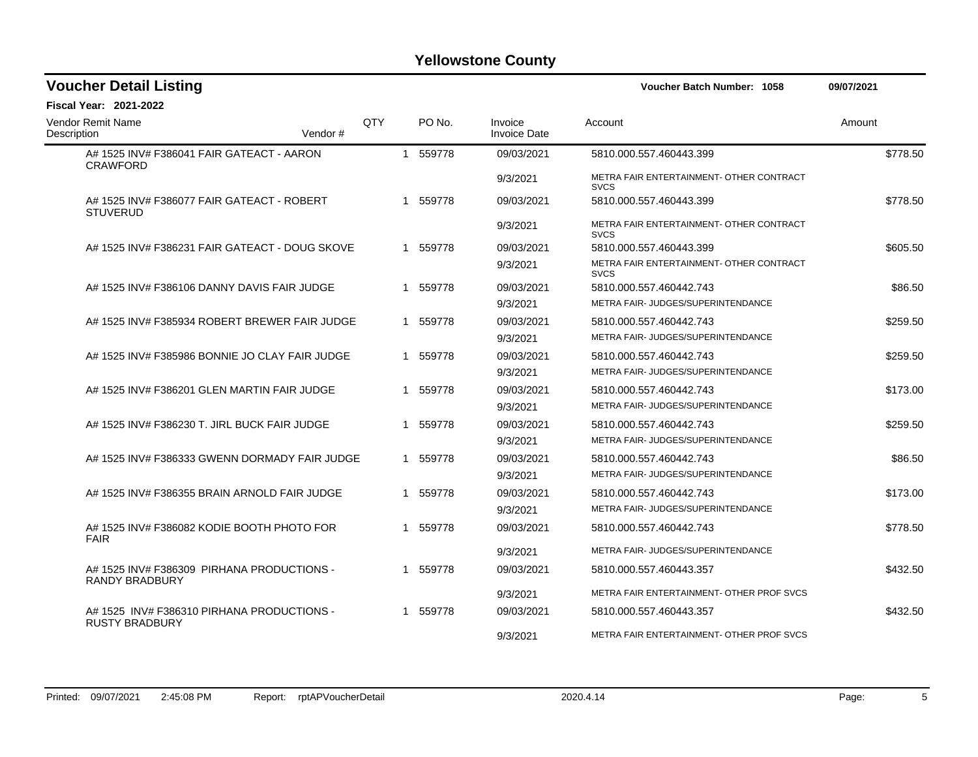| <b>Voucher Detail Listing</b>                                       |         |            |   |                  |                                | Voucher Batch Number: 1058                              | 09/07/2021 |
|---------------------------------------------------------------------|---------|------------|---|------------------|--------------------------------|---------------------------------------------------------|------------|
| <b>Fiscal Year: 2021-2022</b>                                       |         |            |   |                  |                                |                                                         |            |
| Vendor Remit Name<br>Description                                    | Vendor# | <b>OTY</b> |   | PO <sub>No</sub> | Invoice<br><b>Invoice Date</b> | Account                                                 | Amount     |
| A# 1525 INV# F386041 FAIR GATEACT - AARON<br><b>CRAWFORD</b>        |         |            |   | 1 559778         | 09/03/2021                     | 5810.000.557.460443.399                                 | \$778.50   |
|                                                                     |         |            |   |                  | 9/3/2021                       | METRA FAIR ENTERTAINMENT- OTHER CONTRACT<br><b>SVCS</b> |            |
| A# 1525 INV# F386077 FAIR GATEACT - ROBERT<br><b>STUVERUD</b>       |         |            |   | 1 559778         | 09/03/2021                     | 5810.000.557.460443.399                                 | \$778.50   |
|                                                                     |         |            |   |                  | 9/3/2021                       | METRA FAIR ENTERTAINMENT- OTHER CONTRACT<br><b>SVCS</b> |            |
| A# 1525 INV# F386231 FAIR GATEACT - DOUG SKOVE                      |         |            |   | 1 559778         | 09/03/2021                     | 5810.000.557.460443.399                                 | \$605.50   |
|                                                                     |         |            |   |                  | 9/3/2021                       | METRA FAIR ENTERTAINMENT- OTHER CONTRACT<br><b>SVCS</b> |            |
| A# 1525 INV# F386106 DANNY DAVIS FAIR JUDGE                         |         |            | 1 | 559778           | 09/03/2021                     | 5810.000.557.460442.743                                 | \$86.50    |
|                                                                     |         |            |   |                  | 9/3/2021                       | METRA FAIR- JUDGES/SUPERINTENDANCE                      |            |
| A# 1525 INV# F385934 ROBERT BREWER FAIR JUDGE                       |         |            |   | 1 559778         | 09/03/2021                     | 5810.000.557.460442.743                                 | \$259.50   |
|                                                                     |         |            |   |                  | 9/3/2021                       | METRA FAIR- JUDGES/SUPERINTENDANCE                      |            |
| A# 1525 INV# F385986 BONNIE JO CLAY FAIR JUDGE                      |         |            |   | 1 559778         | 09/03/2021                     | 5810.000.557.460442.743                                 | \$259.50   |
|                                                                     |         |            |   |                  | 9/3/2021                       | METRA FAIR- JUDGES/SUPERINTENDANCE                      |            |
| A# 1525 INV# F386201 GLEN MARTIN FAIR JUDGE                         |         |            | 1 | 559778           | 09/03/2021                     | 5810.000.557.460442.743                                 | \$173.00   |
|                                                                     |         |            |   |                  | 9/3/2021                       | <b>METRA FAIR- JUDGES/SUPERINTENDANCE</b>               |            |
| A# 1525 INV# F386230 T. JIRL BUCK FAIR JUDGE                        |         |            | 1 | 559778           | 09/03/2021                     | 5810.000.557.460442.743                                 | \$259.50   |
|                                                                     |         |            |   |                  | 9/3/2021                       | METRA FAIR- JUDGES/SUPERINTENDANCE                      |            |
| A# 1525 INV# F386333 GWENN DORMADY FAIR JUDGE                       |         |            |   | 1 559778         | 09/03/2021                     | 5810.000.557.460442.743                                 | \$86.50    |
|                                                                     |         |            |   |                  | 9/3/2021                       | METRA FAIR- JUDGES/SUPERINTENDANCE                      |            |
| A# 1525 INV# F386355 BRAIN ARNOLD FAIR JUDGE                        |         |            |   | 1 559778         | 09/03/2021                     | 5810.000.557.460442.743                                 | \$173.00   |
|                                                                     |         |            |   |                  | 9/3/2021                       | METRA FAIR-JUDGES/SUPERINTENDANCE                       |            |
| A# 1525 INV# F386082 KODIE BOOTH PHOTO FOR<br><b>FAIR</b>           |         |            | 1 | 559778           | 09/03/2021                     | 5810.000.557.460442.743                                 | \$778.50   |
|                                                                     |         |            |   |                  | 9/3/2021                       | <b>METRA FAIR- JUDGES/SUPERINTENDANCE</b>               |            |
| A# 1525 INV# F386309 PIRHANA PRODUCTIONS -<br><b>RANDY BRADBURY</b> |         |            |   | 1 559778         | 09/03/2021                     | 5810.000.557.460443.357                                 | \$432.50   |
|                                                                     |         |            |   |                  | 9/3/2021                       | METRA FAIR ENTERTAINMENT- OTHER PROF SVCS               |            |
| A# 1525 INV# F386310 PIRHANA PRODUCTIONS -<br><b>RUSTY BRADBURY</b> |         |            |   | 1 559778         | 09/03/2021                     | 5810.000.557.460443.357                                 | \$432.50   |
|                                                                     |         |            |   |                  | 9/3/2021                       | METRA FAIR ENTERTAINMENT- OTHER PROF SVCS               |            |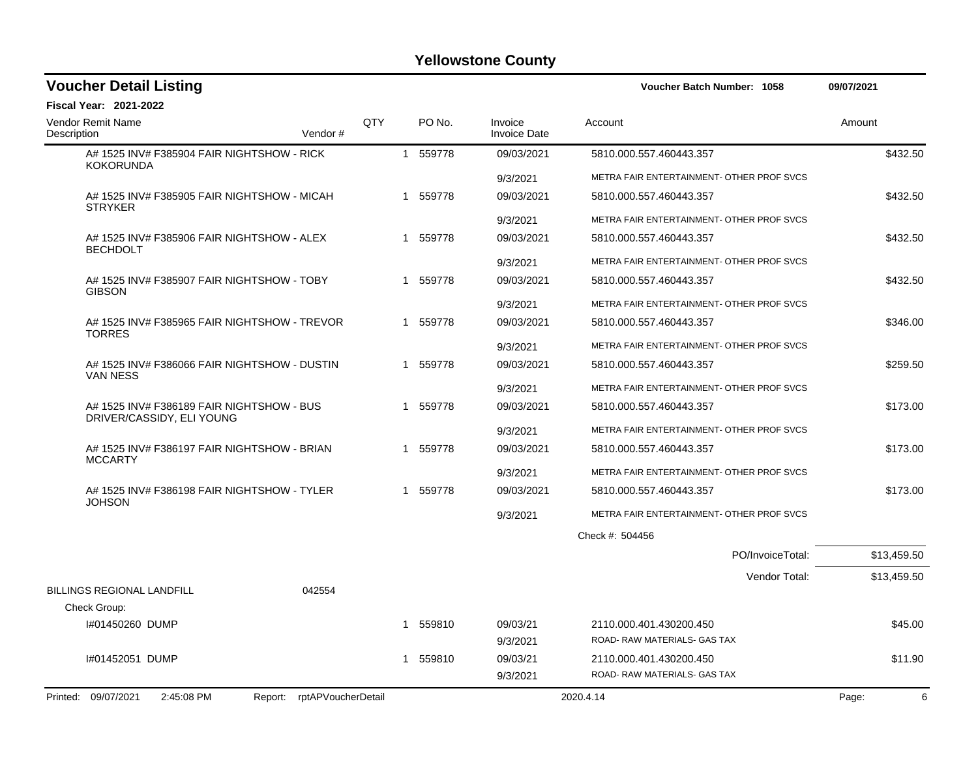| <b>Voucher Detail Listing</b>                                   |     |             |                                | Voucher Batch Number: 1058                | 09/07/2021  |
|-----------------------------------------------------------------|-----|-------------|--------------------------------|-------------------------------------------|-------------|
| <b>Fiscal Year: 2021-2022</b>                                   |     |             |                                |                                           |             |
| Vendor Remit Name<br>Description<br>Vendor#                     | QTY | PO No.      | Invoice<br><b>Invoice Date</b> | Account                                   | Amount      |
| A# 1525 INV# F385904 FAIR NIGHTSHOW - RICK<br><b>KOKORUNDA</b>  |     | 1 559778    | 09/03/2021                     | 5810.000.557.460443.357                   | \$432.50    |
|                                                                 |     |             | 9/3/2021                       | METRA FAIR ENTERTAINMENT- OTHER PROF SVCS |             |
| A# 1525 INV# F385905 FAIR NIGHTSHOW - MICAH                     |     | 1 559778    | 09/03/2021                     | 5810.000.557.460443.357                   | \$432.50    |
| <b>STRYKER</b>                                                  |     |             | 9/3/2021                       | METRA FAIR ENTERTAINMENT- OTHER PROF SVCS |             |
| A# 1525 INV# F385906 FAIR NIGHTSHOW - ALEX                      |     | 1 559778    | 09/03/2021                     | 5810.000.557.460443.357                   | \$432.50    |
| <b>BECHDOLT</b>                                                 |     |             | 9/3/2021                       | METRA FAIR ENTERTAINMENT- OTHER PROF SVCS |             |
| A# 1525 INV# F385907 FAIR NIGHTSHOW - TOBY                      |     | 1 559778    | 09/03/2021                     | 5810.000.557.460443.357                   | \$432.50    |
| <b>GIBSON</b>                                                   |     |             | 9/3/2021                       | METRA FAIR ENTERTAINMENT- OTHER PROF SVCS |             |
| A# 1525 INV# F385965 FAIR NIGHTSHOW - TREVOR                    |     | 1 559778    | 09/03/2021                     | 5810.000.557.460443.357                   | \$346.00    |
| <b>TORRES</b>                                                   |     |             | 9/3/2021                       | METRA FAIR ENTERTAINMENT- OTHER PROF SVCS |             |
| A# 1525 INV# F386066 FAIR NIGHTSHOW - DUSTIN                    |     | 1 559778    | 09/03/2021                     | 5810.000.557.460443.357                   | \$259.50    |
| <b>VAN NESS</b>                                                 |     |             | 9/3/2021                       | METRA FAIR ENTERTAINMENT- OTHER PROF SVCS |             |
| A# 1525 INV# F386189 FAIR NIGHTSHOW - BUS                       |     | 1 559778    | 09/03/2021                     | 5810.000.557.460443.357                   | \$173.00    |
| DRIVER/CASSIDY, ELI YOUNG                                       |     |             | 9/3/2021                       | METRA FAIR ENTERTAINMENT- OTHER PROF SVCS |             |
| A# 1525 INV# F386197 FAIR NIGHTSHOW - BRIAN                     |     | 559778      | 09/03/2021                     | 5810.000.557.460443.357                   | \$173.00    |
| <b>MCCARTY</b>                                                  |     |             | 9/3/2021                       | METRA FAIR ENTERTAINMENT- OTHER PROF SVCS |             |
| A# 1525 INV# F386198 FAIR NIGHTSHOW - TYLER                     |     | 1 559778    | 09/03/2021                     | 5810.000.557.460443.357                   | \$173.00    |
| <b>JOHSON</b>                                                   |     |             | 9/3/2021                       | METRA FAIR ENTERTAINMENT- OTHER PROF SVCS |             |
|                                                                 |     |             |                                | Check #: 504456                           |             |
|                                                                 |     |             |                                | PO/InvoiceTotal:                          | \$13,459.50 |
|                                                                 |     |             |                                | Vendor Total:                             | \$13,459.50 |
| <b>BILLINGS REGIONAL LANDFILL</b><br>042554                     |     |             |                                |                                           |             |
| Check Group:                                                    |     |             |                                |                                           |             |
| I#01450260 DUMP                                                 | 1   | 559810      | 09/03/21                       | 2110.000.401.430200.450                   | \$45.00     |
|                                                                 |     |             | 9/3/2021                       | ROAD- RAW MATERIALS- GAS TAX              |             |
| #01452051 DUMP                                                  |     | 559810<br>1 | 09/03/21                       | 2110.000.401.430200.450                   | \$11.90     |
|                                                                 |     |             | 9/3/2021                       | ROAD- RAW MATERIALS- GAS TAX              |             |
| Printed: 09/07/2021<br>2:45:08 PM<br>Report: rptAPVoucherDetail |     |             |                                | 2020.4.14                                 | 6<br>Page:  |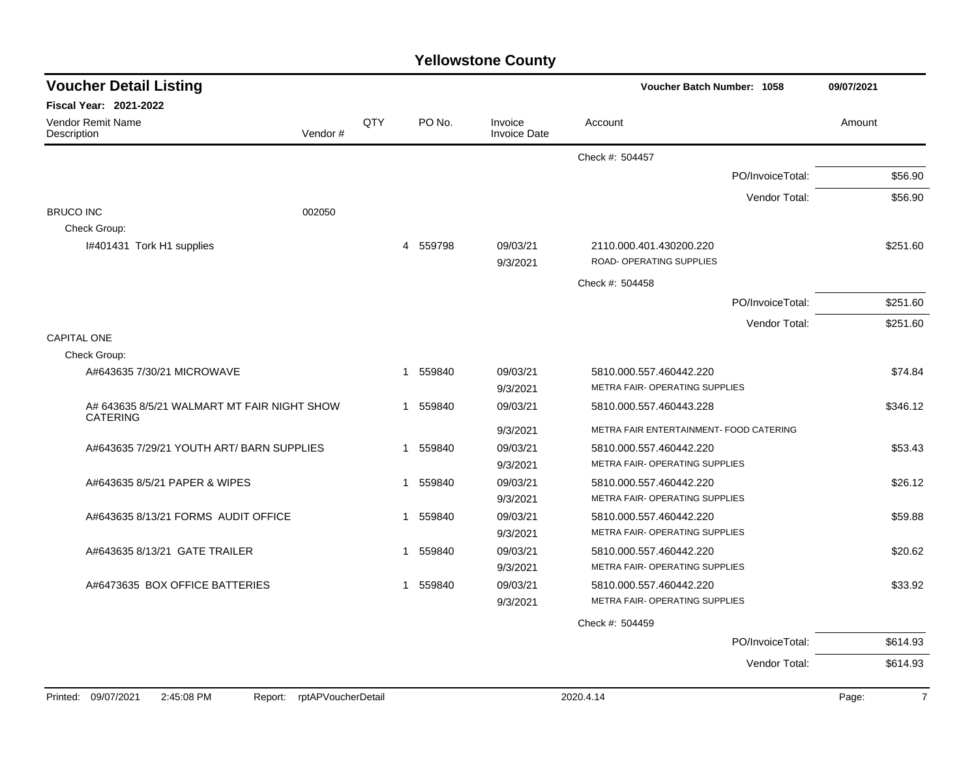| <b>Voucher Detail Listing</b>                                  |         |     |                        |                                | Voucher Batch Number: 1058              |                  |          |
|----------------------------------------------------------------|---------|-----|------------------------|--------------------------------|-----------------------------------------|------------------|----------|
| <b>Fiscal Year: 2021-2022</b>                                  |         |     |                        |                                |                                         |                  |          |
| Vendor Remit Name<br>Description                               | Vendor# | QTY | PO No.                 | Invoice<br><b>Invoice Date</b> | Account                                 |                  | Amount   |
|                                                                |         |     |                        |                                | Check #: 504457                         |                  |          |
|                                                                |         |     |                        |                                |                                         | PO/InvoiceTotal: | \$56.90  |
|                                                                |         |     |                        |                                |                                         | Vendor Total:    | \$56.90  |
| <b>BRUCO INC</b>                                               | 002050  |     |                        |                                |                                         |                  |          |
| Check Group:                                                   |         |     |                        |                                |                                         |                  |          |
| I#401431 Tork H1 supplies                                      |         |     | 559798<br>4            | 09/03/21                       | 2110.000.401.430200.220                 |                  | \$251.60 |
|                                                                |         |     |                        | 9/3/2021                       | ROAD- OPERATING SUPPLIES                |                  |          |
|                                                                |         |     |                        |                                | Check #: 504458                         |                  |          |
|                                                                |         |     |                        |                                |                                         | PO/InvoiceTotal: | \$251.60 |
|                                                                |         |     |                        |                                |                                         | Vendor Total:    | \$251.60 |
| <b>CAPITAL ONE</b>                                             |         |     |                        |                                |                                         |                  |          |
| Check Group:                                                   |         |     |                        |                                |                                         |                  |          |
| A#643635 7/30/21 MICROWAVE                                     |         |     | 1 559840               | 09/03/21                       | 5810.000.557.460442.220                 |                  | \$74.84  |
|                                                                |         |     |                        | 9/3/2021                       | METRA FAIR- OPERATING SUPPLIES          |                  |          |
| A# 643635 8/5/21 WALMART MT FAIR NIGHT SHOW<br><b>CATERING</b> |         |     | 559840<br>1            | 09/03/21                       | 5810.000.557.460443.228                 |                  | \$346.12 |
|                                                                |         |     |                        | 9/3/2021                       | METRA FAIR ENTERTAINMENT- FOOD CATERING |                  |          |
| A#643635 7/29/21 YOUTH ART/ BARN SUPPLIES                      |         |     | 559840<br>-1           | 09/03/21                       | 5810.000.557.460442.220                 |                  | \$53.43  |
|                                                                |         |     |                        | 9/3/2021                       | METRA FAIR- OPERATING SUPPLIES          |                  |          |
| A#643635 8/5/21 PAPER & WIPES                                  |         |     | 559840<br>1            | 09/03/21                       | 5810.000.557.460442.220                 |                  | \$26.12  |
|                                                                |         |     |                        | 9/3/2021                       | METRA FAIR- OPERATING SUPPLIES          |                  |          |
| A#643635 8/13/21 FORMS AUDIT OFFICE                            |         |     | 1 559840               | 09/03/21                       | 5810.000.557.460442.220                 |                  | \$59.88  |
|                                                                |         |     |                        | 9/3/2021                       | METRA FAIR- OPERATING SUPPLIES          |                  |          |
| A#643635 8/13/21 GATE TRAILER                                  |         |     | 559840<br>$\mathbf{1}$ | 09/03/21                       | 5810.000.557.460442.220                 |                  | \$20.62  |
|                                                                |         |     |                        | 9/3/2021                       | METRA FAIR- OPERATING SUPPLIES          |                  |          |
| A#6473635 BOX OFFICE BATTERIES                                 |         |     | 559840<br>1            | 09/03/21                       | 5810.000.557.460442.220                 |                  | \$33.92  |
|                                                                |         |     |                        | 9/3/2021                       | METRA FAIR- OPERATING SUPPLIES          |                  |          |
|                                                                |         |     |                        |                                | Check #: 504459                         |                  |          |
|                                                                |         |     |                        |                                |                                         | PO/InvoiceTotal: | \$614.93 |
|                                                                |         |     |                        |                                |                                         | Vendor Total:    | \$614.93 |
|                                                                |         |     |                        |                                |                                         |                  |          |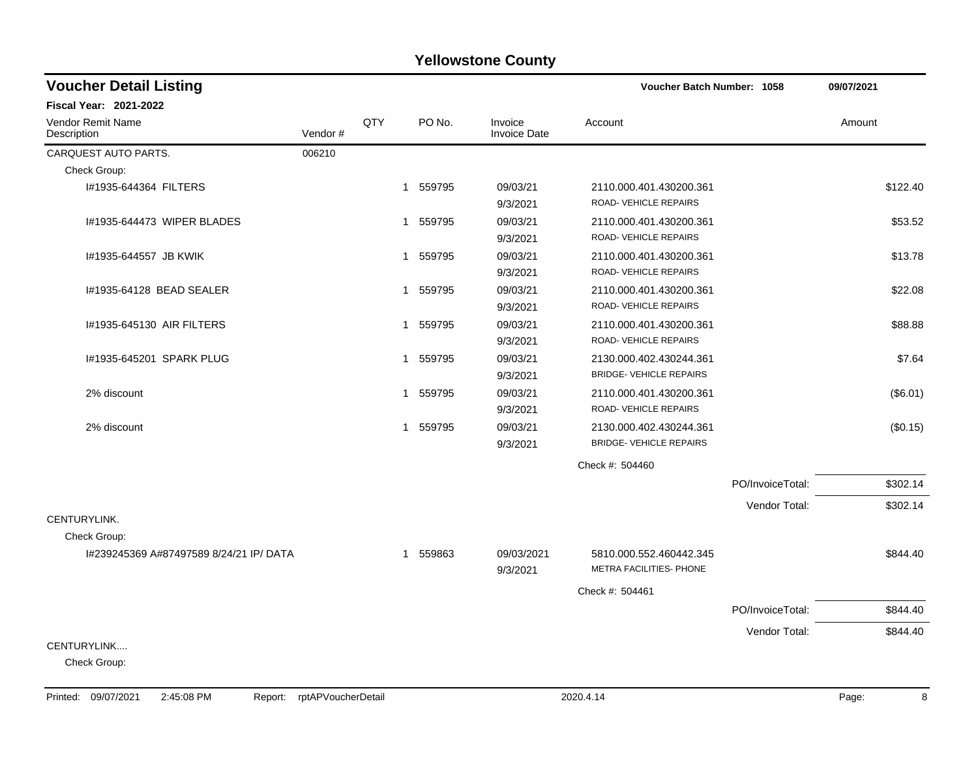| <b>Voucher Detail Listing</b>           | Voucher Batch Number: 1058 | 09/07/2021   |          |                                |                                |                  |          |
|-----------------------------------------|----------------------------|--------------|----------|--------------------------------|--------------------------------|------------------|----------|
| <b>Fiscal Year: 2021-2022</b>           |                            |              |          |                                |                                |                  |          |
| <b>Vendor Remit Name</b><br>Description | Vendor#                    | QTY          | PO No.   | Invoice<br><b>Invoice Date</b> | Account                        |                  | Amount   |
| CARQUEST AUTO PARTS.                    | 006210                     |              |          |                                |                                |                  |          |
| Check Group:                            |                            |              |          |                                |                                |                  |          |
| I#1935-644364 FILTERS                   |                            | $\mathbf{1}$ | 559795   | 09/03/21                       | 2110.000.401.430200.361        |                  | \$122.40 |
|                                         |                            |              |          | 9/3/2021                       | ROAD-VEHICLE REPAIRS           |                  |          |
| 1#1935-644473 WIPER BLADES              |                            |              | 1 559795 | 09/03/21                       | 2110.000.401.430200.361        |                  | \$53.52  |
|                                         |                            |              |          | 9/3/2021                       | ROAD-VEHICLE REPAIRS           |                  |          |
| I#1935-644557 JB KWIK                   |                            | $\mathbf{1}$ | 559795   | 09/03/21                       | 2110.000.401.430200.361        |                  | \$13.78  |
|                                         |                            |              |          | 9/3/2021                       | ROAD-VEHICLE REPAIRS           |                  |          |
| I#1935-64128 BEAD SEALER                |                            | $\mathbf{1}$ | 559795   | 09/03/21                       | 2110.000.401.430200.361        |                  | \$22.08  |
|                                         |                            |              |          | 9/3/2021                       | ROAD- VEHICLE REPAIRS          |                  |          |
| 1#1935-645130 AIR FILTERS               |                            |              | 1 559795 | 09/03/21                       | 2110.000.401.430200.361        |                  | \$88.88  |
|                                         |                            |              |          | 9/3/2021                       | ROAD-VEHICLE REPAIRS           |                  |          |
| I#1935-645201 SPARK PLUG                |                            | $\mathbf{1}$ | 559795   | 09/03/21                       | 2130.000.402.430244.361        |                  | \$7.64   |
|                                         |                            |              |          | 9/3/2021                       | <b>BRIDGE- VEHICLE REPAIRS</b> |                  |          |
| 2% discount                             |                            | 1            | 559795   | 09/03/21                       | 2110.000.401.430200.361        |                  | (\$6.01) |
|                                         |                            |              |          | 9/3/2021                       | ROAD-VEHICLE REPAIRS           |                  |          |
| 2% discount                             |                            |              | 1 559795 | 09/03/21                       | 2130.000.402.430244.361        |                  | (\$0.15) |
|                                         |                            |              |          | 9/3/2021                       | <b>BRIDGE- VEHICLE REPAIRS</b> |                  |          |
|                                         |                            |              |          |                                | Check #: 504460                |                  |          |
|                                         |                            |              |          |                                |                                | PO/InvoiceTotal: | \$302.14 |
|                                         |                            |              |          |                                |                                | Vendor Total:    | \$302.14 |
| CENTURYLINK.                            |                            |              |          |                                |                                |                  |          |
| Check Group:                            |                            |              |          |                                |                                |                  |          |
| 1#239245369 A#87497589 8/24/21 IP/ DATA |                            |              | 1 559863 | 09/03/2021                     | 5810.000.552.460442.345        |                  | \$844.40 |
|                                         |                            |              |          | 9/3/2021                       | METRA FACILITIES- PHONE        |                  |          |
|                                         |                            |              |          |                                | Check #: 504461                |                  |          |
|                                         |                            |              |          |                                |                                | PO/InvoiceTotal: | \$844.40 |
|                                         |                            |              |          |                                |                                | Vendor Total:    | \$844.40 |
| CENTURYLINK                             |                            |              |          |                                |                                |                  |          |
| Check Group:                            |                            |              |          |                                |                                |                  |          |

Printed: 09/07/2021 2:45:08 PM Report: rptAPVoucherDetail 2020.4.14 2020.4.14 Page: 8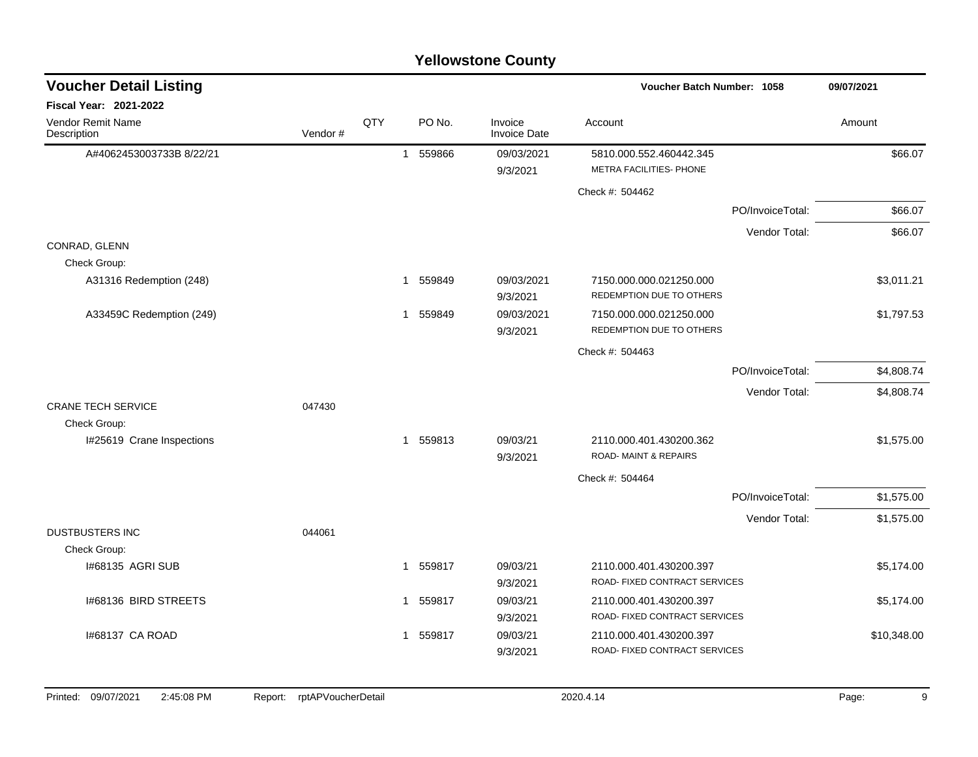| <b>Yellowstone County</b>        |         |     |                          |                                |                                                            |                  |             |  |  |  |  |
|----------------------------------|---------|-----|--------------------------|--------------------------------|------------------------------------------------------------|------------------|-------------|--|--|--|--|
| <b>Voucher Detail Listing</b>    |         |     |                          |                                | <b>Voucher Batch Number: 1058</b>                          |                  | 09/07/2021  |  |  |  |  |
| Fiscal Year: 2021-2022           |         |     |                          |                                |                                                            |                  |             |  |  |  |  |
| Vendor Remit Name<br>Description | Vendor# | QTY | PO No.                   | Invoice<br><b>Invoice Date</b> | Account                                                    |                  | Amount      |  |  |  |  |
| A#4062453003733B 8/22/21         |         |     | 559866<br>$\overline{1}$ | 09/03/2021<br>9/3/2021         | 5810.000.552.460442.345<br>METRA FACILITIES- PHONE         |                  | \$66.07     |  |  |  |  |
|                                  |         |     |                          |                                | Check #: 504462                                            |                  |             |  |  |  |  |
|                                  |         |     |                          |                                |                                                            | PO/InvoiceTotal: | \$66.07     |  |  |  |  |
|                                  |         |     |                          |                                |                                                            | Vendor Total:    | \$66.07     |  |  |  |  |
| CONRAD, GLENN                    |         |     |                          |                                |                                                            |                  |             |  |  |  |  |
| Check Group:                     |         |     |                          |                                |                                                            |                  |             |  |  |  |  |
| A31316 Redemption (248)          |         |     | 559849<br>$\mathbf{1}$   | 09/03/2021<br>9/3/2021         | 7150.000.000.021250.000<br>REDEMPTION DUE TO OTHERS        |                  | \$3,011.21  |  |  |  |  |
| A33459C Redemption (249)         |         |     | 559849<br>$\mathbf 1$    | 09/03/2021<br>9/3/2021         | 7150.000.000.021250.000<br>REDEMPTION DUE TO OTHERS        |                  | \$1,797.53  |  |  |  |  |
|                                  |         |     |                          |                                | Check #: 504463                                            |                  |             |  |  |  |  |
|                                  |         |     |                          |                                |                                                            | PO/InvoiceTotal: | \$4,808.74  |  |  |  |  |
|                                  |         |     |                          |                                |                                                            | Vendor Total:    | \$4,808.74  |  |  |  |  |
| <b>CRANE TECH SERVICE</b>        | 047430  |     |                          |                                |                                                            |                  |             |  |  |  |  |
| Check Group:                     |         |     |                          |                                |                                                            |                  |             |  |  |  |  |
| I#25619 Crane Inspections        |         |     | 559813<br>$\mathbf 1$    | 09/03/21<br>9/3/2021           | 2110.000.401.430200.362<br><b>ROAD-MAINT &amp; REPAIRS</b> |                  | \$1,575.00  |  |  |  |  |
|                                  |         |     |                          |                                | Check #: 504464                                            |                  |             |  |  |  |  |
|                                  |         |     |                          |                                |                                                            | PO/InvoiceTotal: | \$1,575.00  |  |  |  |  |
|                                  |         |     |                          |                                |                                                            | Vendor Total:    | \$1,575.00  |  |  |  |  |
| <b>DUSTBUSTERS INC</b>           | 044061  |     |                          |                                |                                                            |                  |             |  |  |  |  |
| Check Group:                     |         |     |                          |                                |                                                            |                  |             |  |  |  |  |
| I#68135 AGRI SUB                 |         |     | 559817<br>1              | 09/03/21<br>9/3/2021           | 2110.000.401.430200.397<br>ROAD- FIXED CONTRACT SERVICES   |                  | \$5,174.00  |  |  |  |  |
| 1#68136 BIRD STREETS             |         |     | 559817<br>1              | 09/03/21                       | 2110.000.401.430200.397                                    |                  | \$5,174.00  |  |  |  |  |
|                                  |         |     |                          | 9/3/2021                       | ROAD- FIXED CONTRACT SERVICES                              |                  |             |  |  |  |  |
| 1#68137 CA ROAD                  |         |     | 559817<br>$\mathbf 1$    | 09/03/21                       | 2110.000.401.430200.397                                    |                  | \$10,348.00 |  |  |  |  |
|                                  |         |     |                          | 9/3/2021                       | ROAD- FIXED CONTRACT SERVICES                              |                  |             |  |  |  |  |
|                                  |         |     |                          |                                |                                                            |                  |             |  |  |  |  |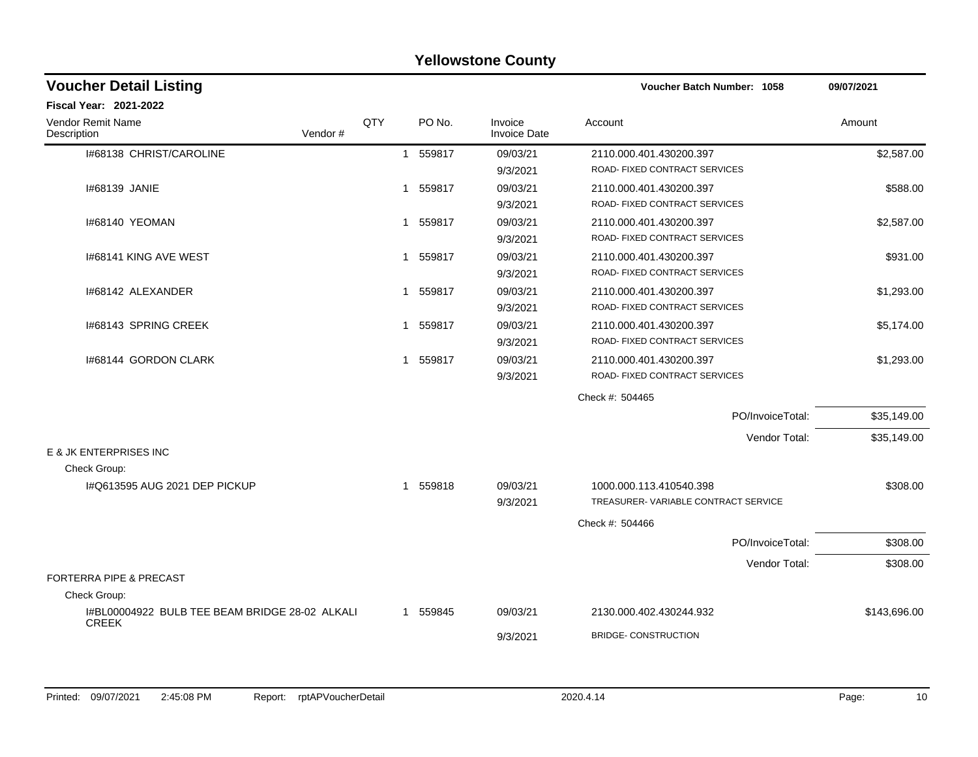|                                                                |     |                        | <b>Yellowstone County</b>      |                                                                |              |
|----------------------------------------------------------------|-----|------------------------|--------------------------------|----------------------------------------------------------------|--------------|
| <b>Voucher Detail Listing</b>                                  |     |                        |                                | Voucher Batch Number: 1058                                     | 09/07/2021   |
| <b>Fiscal Year: 2021-2022</b>                                  |     |                        |                                |                                                                |              |
| <b>Vendor Remit Name</b><br>Vendor#<br>Description             | QTY | PO No.                 | Invoice<br><b>Invoice Date</b> | Account                                                        | Amount       |
| 1#68138 CHRIST/CAROLINE                                        |     | 559817<br>$\mathbf{1}$ | 09/03/21<br>9/3/2021           | 2110.000.401.430200.397<br>ROAD- FIXED CONTRACT SERVICES       | \$2,587.00   |
| I#68139 JANIE                                                  |     | 559817<br>1            | 09/03/21<br>9/3/2021           | 2110.000.401.430200.397<br>ROAD- FIXED CONTRACT SERVICES       | \$588.00     |
| 1#68140 YEOMAN                                                 |     | 1 559817               | 09/03/21<br>9/3/2021           | 2110.000.401.430200.397<br>ROAD- FIXED CONTRACT SERVICES       | \$2,587.00   |
| 1#68141 KING AVE WEST                                          |     | 1 559817               | 09/03/21<br>9/3/2021           | 2110.000.401.430200.397<br>ROAD- FIXED CONTRACT SERVICES       | \$931.00     |
| I#68142 ALEXANDER                                              |     | 559817<br>1            | 09/03/21<br>9/3/2021           | 2110.000.401.430200.397<br>ROAD- FIXED CONTRACT SERVICES       | \$1,293.00   |
| 1#68143 SPRING CREEK                                           |     | 559817<br>1            | 09/03/21<br>9/3/2021           | 2110.000.401.430200.397<br>ROAD- FIXED CONTRACT SERVICES       | \$5,174.00   |
| I#68144 GORDON CLARK                                           |     | 559817<br>1            | 09/03/21<br>9/3/2021           | 2110.000.401.430200.397<br>ROAD- FIXED CONTRACT SERVICES       | \$1,293.00   |
|                                                                |     |                        |                                | Check #: 504465                                                |              |
|                                                                |     |                        |                                | PO/InvoiceTotal:                                               | \$35,149.00  |
|                                                                |     |                        |                                | Vendor Total:                                                  | \$35,149.00  |
| E & JK ENTERPRISES INC<br>Check Group:                         |     |                        |                                |                                                                |              |
| I#Q613595 AUG 2021 DEP PICKUP                                  |     | 559818<br>1            | 09/03/21<br>9/3/2021           | 1000.000.113.410540.398<br>TREASURER-VARIABLE CONTRACT SERVICE | \$308.00     |
|                                                                |     |                        |                                | Check #: 504466                                                |              |
|                                                                |     |                        |                                | PO/InvoiceTotal:                                               | \$308.00     |
|                                                                |     |                        |                                | Vendor Total:                                                  | \$308.00     |
| <b>FORTERRA PIPE &amp; PRECAST</b><br>Check Group:             |     |                        |                                |                                                                |              |
| I#BL00004922 BULB TEE BEAM BRIDGE 28-02 ALKALI<br><b>CREEK</b> |     | 1 559845               | 09/03/21                       | 2130.000.402.430244.932                                        | \$143.696.00 |
|                                                                |     |                        | 9/3/2021                       | <b>BRIDGE- CONSTRUCTION</b>                                    |              |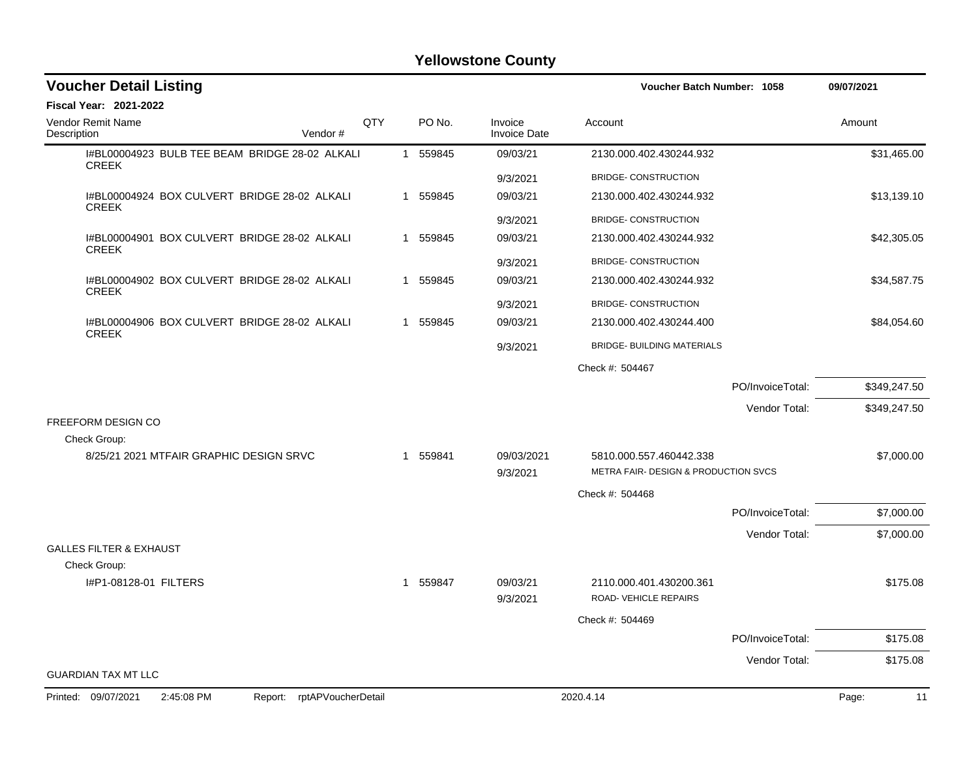| <b>Voucher Detail Listing</b>                                      |     |          |                                | Voucher Batch Number: 1058                       |                  | 09/07/2021   |
|--------------------------------------------------------------------|-----|----------|--------------------------------|--------------------------------------------------|------------------|--------------|
| <b>Fiscal Year: 2021-2022</b>                                      |     |          |                                |                                                  |                  |              |
| <b>Vendor Remit Name</b><br>Description<br>Vendor#                 | QTY | PO No.   | Invoice<br><b>Invoice Date</b> | Account                                          |                  | Amount       |
| I#BL00004923 BULB TEE BEAM BRIDGE 28-02 ALKALI<br><b>CREEK</b>     |     | 1 559845 | 09/03/21                       | 2130.000.402.430244.932                          |                  | \$31,465.00  |
|                                                                    |     |          | 9/3/2021                       | <b>BRIDGE- CONSTRUCTION</b>                      |                  |              |
| I#BL00004924 BOX CULVERT BRIDGE 28-02 ALKALI<br><b>CREEK</b>       |     | 1 559845 | 09/03/21                       | 2130.000.402.430244.932                          |                  | \$13,139.10  |
|                                                                    |     |          | 9/3/2021                       | <b>BRIDGE- CONSTRUCTION</b>                      |                  |              |
| I#BL00004901 BOX CULVERT BRIDGE 28-02 ALKALI<br><b>CREEK</b>       |     | 1 559845 | 09/03/21                       | 2130.000.402.430244.932                          |                  | \$42,305.05  |
|                                                                    |     |          | 9/3/2021                       | <b>BRIDGE- CONSTRUCTION</b>                      |                  |              |
| I#BL00004902 BOX CULVERT BRIDGE 28-02 ALKALI<br><b>CREEK</b>       |     | 1 559845 | 09/03/21                       | 2130.000.402.430244.932                          |                  | \$34,587.75  |
|                                                                    |     |          | 9/3/2021                       | <b>BRIDGE- CONSTRUCTION</b>                      |                  |              |
| I#BL00004906 BOX CULVERT BRIDGE 28-02 ALKALI                       |     | 1 559845 | 09/03/21                       | 2130.000.402.430244.400                          |                  | \$84,054.60  |
| <b>CREEK</b>                                                       |     |          | 9/3/2021                       | <b>BRIDGE- BUILDING MATERIALS</b>                |                  |              |
|                                                                    |     |          |                                | Check #: 504467                                  |                  |              |
|                                                                    |     |          |                                |                                                  | PO/InvoiceTotal: | \$349,247.50 |
|                                                                    |     |          |                                |                                                  | Vendor Total:    | \$349,247.50 |
| <b>FREEFORM DESIGN CO</b>                                          |     |          |                                |                                                  |                  |              |
| Check Group:<br>8/25/21 2021 MTFAIR GRAPHIC DESIGN SRVC            |     | 1 559841 | 09/03/2021                     | 5810.000.557.460442.338                          |                  | \$7,000.00   |
|                                                                    |     |          | 9/3/2021                       | <b>METRA FAIR- DESIGN &amp; PRODUCTION SVCS</b>  |                  |              |
|                                                                    |     |          |                                | Check #: 504468                                  |                  |              |
|                                                                    |     |          |                                |                                                  | PO/InvoiceTotal: | \$7,000.00   |
|                                                                    |     |          |                                |                                                  | Vendor Total:    | \$7,000.00   |
| <b>GALLES FILTER &amp; EXHAUST</b>                                 |     |          |                                |                                                  |                  |              |
| Check Group:                                                       |     |          |                                |                                                  |                  |              |
| I#P1-08128-01 FILTERS                                              |     | 1 559847 | 09/03/21<br>9/3/2021           | 2110.000.401.430200.361<br>ROAD- VEHICLE REPAIRS |                  | \$175.08     |
|                                                                    |     |          |                                | Check #: 504469                                  |                  |              |
|                                                                    |     |          |                                |                                                  | PO/InvoiceTotal: | \$175.08     |
|                                                                    |     |          |                                |                                                  | Vendor Total:    | \$175.08     |
| <b>GUARDIAN TAX MT LLC</b>                                         |     |          |                                |                                                  |                  |              |
| Printed: 09/07/2021<br>2:45:08 PM<br>rptAPVoucherDetail<br>Report: |     |          |                                | 2020.4.14                                        |                  | Page:<br>11  |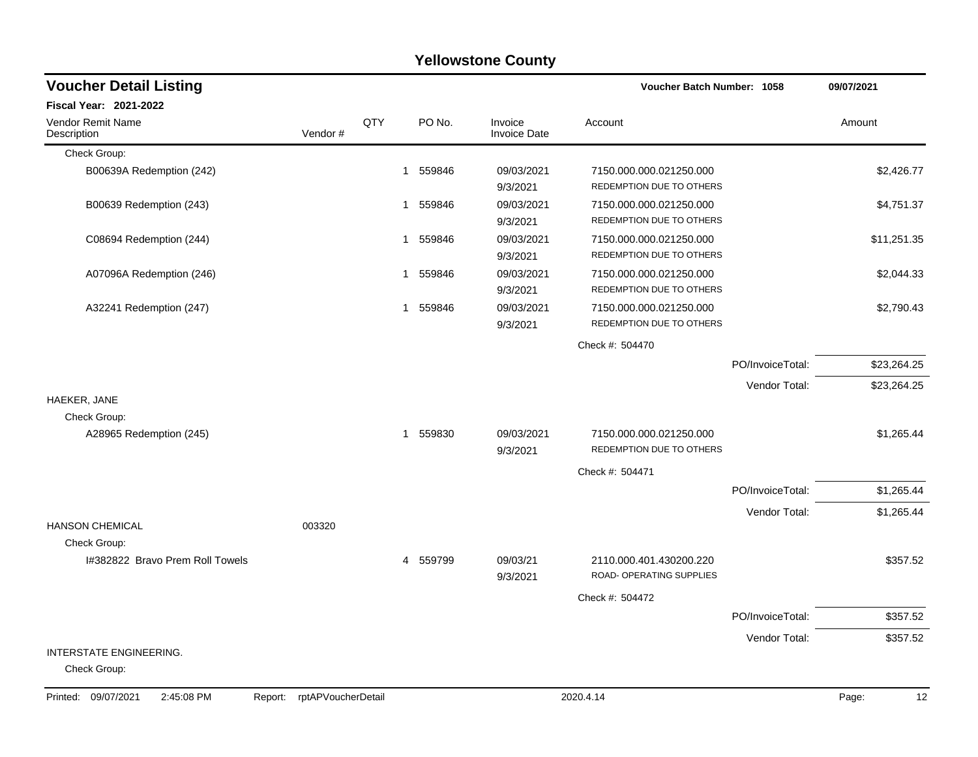#### Check Group: B00639A Redemption (242) 2.426.77 9/3/2021 REDEMPTION DUE TO OTHERS B00639 Redemption (243) **1 559846** 09/03/2021 7150.000.000.021250.000 **11** 559846 3,751.37 9/3/2021 REDEMPTION DUE TO OTHERS C08694 Redemption (244)  $1 559846$   $09/03/2021$   $7150.000.000.021250.000$   $\text{S11.251.35}$ 9/3/2021 REDEMPTION DUE TO OTHERS A07096A Redemption (246) 2.044.33 9/3/2021 REDEMPTION DUE TO OTHERS A32241 Redemption (247) 1 559846 1 559846 09/03/2021 7150.000.000.021250.000 1 559846 32,790.43 9/3/2021 REDEMPTION DUE TO OTHERS Check #: 504470 PO/InvoiceTotal: \$23,264.25 Vendor Total: \$23,264.25 HAEKER, JANE Check Group: A28965 Redemption (245) 1 559830 1 559830 09/03/2021 7150.000.000.021250.000 1 559830 51,265.44 9/3/2021 REDEMPTION DUE TO OTHERS Check #: 504471 PO/InvoiceTotal: \$1,265.44 Vendor Total: \$1,265.44 HANSON CHEMICAL 003320 Check Group: I#382822 Bravo Prem Roll Towels **4 559799** 09/03/21 2110.000.401.430200.220 \$357.52 9/3/2021 ROAD- OPERATING SUPPLIES Check #: 504472 PO/InvoiceTotal: \$357.52 Vendor Total: \$357.52 INTERSTATE ENGINEERING. Check Group: **Voucher Batch Number: Yellowstone County** Vendor Remit Name **Description Voucher Detail Listing Fiscal Year: 2021-2022 1058 09/07/2021** PO No. Invoice Account Amount Amount Amount Amount Vendor # **QTY** Invoice Date

Printed: 09/07/2021 2:45:08 PM Report: rptAPVoucherDetail 2020.4.14 2020.4.14 Page: 12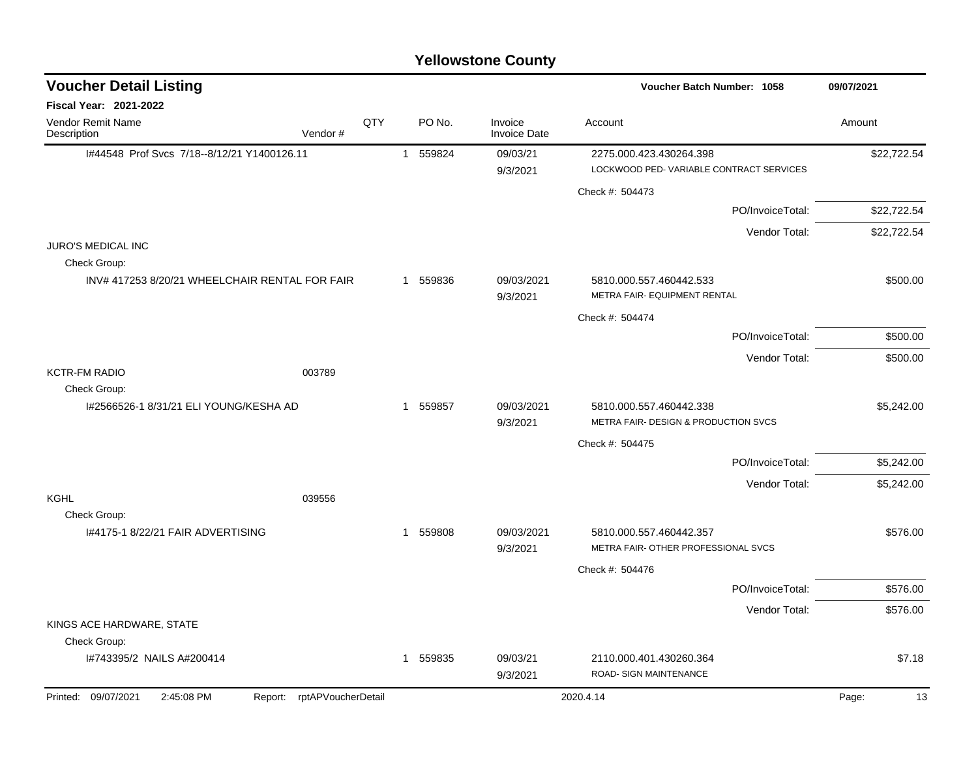| <b>Yellowstone County</b>                                       |     |                |          |                                |                                                         |             |  |  |  |  |  |
|-----------------------------------------------------------------|-----|----------------|----------|--------------------------------|---------------------------------------------------------|-------------|--|--|--|--|--|
| <b>Voucher Detail Listing</b>                                   |     |                |          |                                | Voucher Batch Number: 1058                              | 09/07/2021  |  |  |  |  |  |
| <b>Fiscal Year: 2021-2022</b>                                   |     |                |          |                                |                                                         |             |  |  |  |  |  |
| Vendor Remit Name<br>Vendor#<br>Description                     | QTY |                | PO No.   | Invoice<br><b>Invoice Date</b> | Account                                                 | Amount      |  |  |  |  |  |
| I#44548 Prof Svcs 7/18--8/12/21 Y1400126.11                     |     | $\mathbf{1}$   | 559824   | 09/03/21                       | 2275.000.423.430264.398                                 | \$22,722.54 |  |  |  |  |  |
|                                                                 |     |                |          | 9/3/2021                       | LOCKWOOD PED-VARIABLE CONTRACT SERVICES                 |             |  |  |  |  |  |
|                                                                 |     |                |          |                                | Check #: 504473                                         |             |  |  |  |  |  |
|                                                                 |     |                |          |                                | PO/InvoiceTotal:                                        | \$22,722.54 |  |  |  |  |  |
| <b>JURO'S MEDICAL INC</b>                                       |     |                |          |                                | Vendor Total:                                           | \$22,722.54 |  |  |  |  |  |
| Check Group:                                                    |     |                |          |                                |                                                         |             |  |  |  |  |  |
| INV# 417253 8/20/21 WHEELCHAIR RENTAL FOR FAIR                  |     |                | 1 559836 | 09/03/2021<br>9/3/2021         | 5810.000.557.460442.533<br>METRA FAIR- EQUIPMENT RENTAL | \$500.00    |  |  |  |  |  |
|                                                                 |     |                |          |                                | Check #: 504474                                         |             |  |  |  |  |  |
|                                                                 |     |                |          |                                | PO/InvoiceTotal:                                        | \$500.00    |  |  |  |  |  |
|                                                                 |     |                |          |                                | Vendor Total:                                           | \$500.00    |  |  |  |  |  |
| <b>KCTR-FM RADIO</b><br>003789                                  |     |                |          |                                |                                                         |             |  |  |  |  |  |
| Check Group:<br>1#2566526-1 8/31/21 ELI YOUNG/KESHA AD          |     | $\overline{1}$ | 559857   | 09/03/2021                     | 5810.000.557.460442.338                                 |             |  |  |  |  |  |
|                                                                 |     |                |          | 9/3/2021                       | METRA FAIR- DESIGN & PRODUCTION SVCS                    | \$5,242.00  |  |  |  |  |  |
|                                                                 |     |                |          |                                | Check #: 504475                                         |             |  |  |  |  |  |
|                                                                 |     |                |          |                                | PO/InvoiceTotal:                                        | \$5,242.00  |  |  |  |  |  |
|                                                                 |     |                |          |                                | Vendor Total:                                           | \$5,242.00  |  |  |  |  |  |
| KGHL<br>039556                                                  |     |                |          |                                |                                                         |             |  |  |  |  |  |
| Check Group:<br>1#4175-1 8/22/21 FAIR ADVERTISING               |     | 1              | 559808   | 09/03/2021                     | 5810.000.557.460442.357                                 | \$576.00    |  |  |  |  |  |
|                                                                 |     |                |          | 9/3/2021                       | METRA FAIR-OTHER PROFESSIONAL SVCS                      |             |  |  |  |  |  |
|                                                                 |     |                |          |                                | Check #: 504476                                         |             |  |  |  |  |  |
|                                                                 |     |                |          |                                | PO/InvoiceTotal:                                        | \$576.00    |  |  |  |  |  |
|                                                                 |     |                |          |                                | Vendor Total:                                           | \$576.00    |  |  |  |  |  |
| KINGS ACE HARDWARE, STATE                                       |     |                |          |                                |                                                         |             |  |  |  |  |  |
| Check Group:                                                    |     |                |          |                                |                                                         |             |  |  |  |  |  |
| I#743395/2 NAILS A#200414                                       |     |                | 1 559835 | 09/03/21<br>9/3/2021           | 2110.000.401.430260.364<br>ROAD- SIGN MAINTENANCE       | \$7.18      |  |  |  |  |  |
| Printed: 09/07/2021<br>2:45:08 PM<br>Report: rptAPVoucherDetail |     |                |          |                                | 2020.4.14                                               | 13<br>Page: |  |  |  |  |  |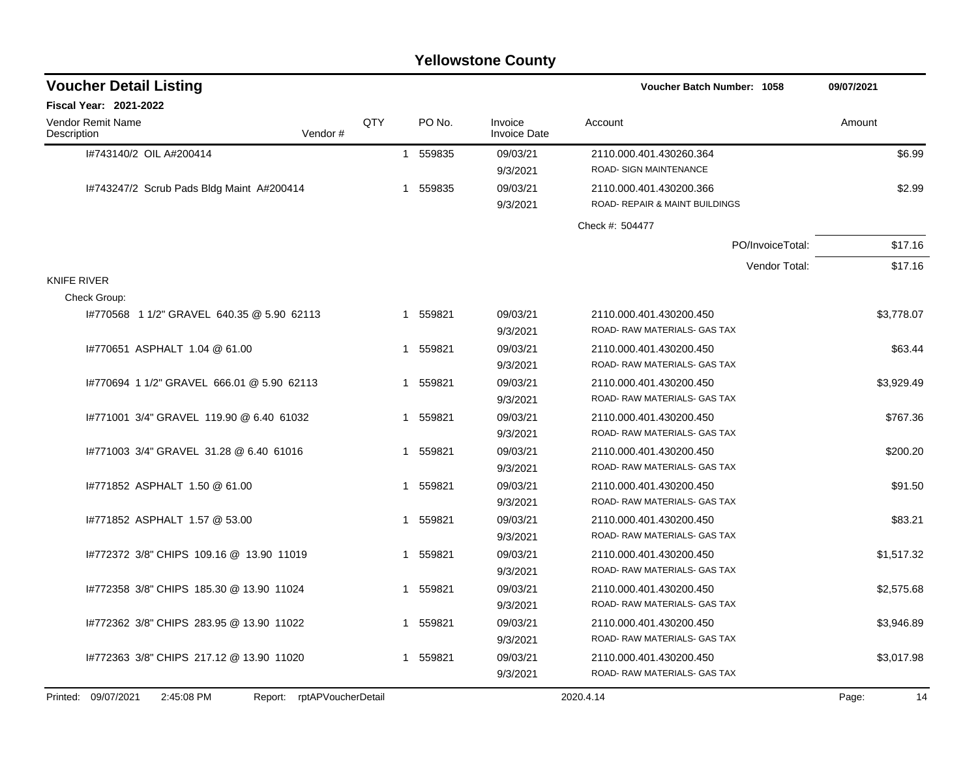|                                            |         |     |          | <b>Yellowstone County</b>      |                                                           |                  |            |
|--------------------------------------------|---------|-----|----------|--------------------------------|-----------------------------------------------------------|------------------|------------|
| <b>Voucher Detail Listing</b>              |         |     |          |                                | Voucher Batch Number: 1058                                |                  | 09/07/2021 |
| <b>Fiscal Year: 2021-2022</b>              |         |     |          |                                |                                                           |                  |            |
| <b>Vendor Remit Name</b><br>Description    | Vendor# | QTY | PO No.   | Invoice<br><b>Invoice Date</b> | Account                                                   |                  | Amount     |
| I#743140/2 OIL A#200414                    |         |     | 1 559835 | 09/03/21<br>9/3/2021           | 2110.000.401.430260.364<br>ROAD- SIGN MAINTENANCE         |                  | \$6.99     |
| 1#743247/2 Scrub Pads Bldg Maint A#200414  |         |     | 1 559835 | 09/03/21<br>9/3/2021           | 2110.000.401.430200.366<br>ROAD- REPAIR & MAINT BUILDINGS |                  | \$2.99     |
|                                            |         |     |          |                                | Check #: 504477                                           |                  |            |
|                                            |         |     |          |                                |                                                           | PO/InvoiceTotal: | \$17.16    |
|                                            |         |     |          |                                |                                                           | Vendor Total:    | \$17.16    |
| <b>KNIFE RIVER</b>                         |         |     |          |                                |                                                           |                  |            |
| Check Group:                               |         |     |          |                                |                                                           |                  |            |
| 1#770568 1 1/2" GRAVEL 640.35 @ 5.90 62113 |         |     | 1 559821 | 09/03/21<br>9/3/2021           | 2110.000.401.430200.450<br>ROAD-RAW MATERIALS- GAS TAX    |                  | \$3,778.07 |
| 1#770651 ASPHALT 1.04 @ 61.00              |         |     | 1 559821 | 09/03/21<br>9/3/2021           | 2110.000.401.430200.450<br>ROAD-RAW MATERIALS- GAS TAX    |                  | \$63.44    |
| 1#770694 1 1/2" GRAVEL 666.01 @ 5.90 62113 |         |     | 1 559821 | 09/03/21<br>9/3/2021           | 2110.000.401.430200.450<br>ROAD-RAW MATERIALS- GAS TAX    |                  | \$3,929.49 |
| 1#771001 3/4" GRAVEL 119.90 @ 6.40 61032   |         |     | 1 559821 | 09/03/21<br>9/3/2021           | 2110.000.401.430200.450<br>ROAD-RAW MATERIALS- GAS TAX    |                  | \$767.36   |
| 1#771003 3/4" GRAVEL 31.28 @ 6.40 61016    |         |     | 1 559821 | 09/03/21<br>9/3/2021           | 2110.000.401.430200.450<br>ROAD-RAW MATERIALS- GAS TAX    |                  | \$200.20   |
| 1#771852 ASPHALT 1.50 @ 61.00              |         |     | 1 559821 | 09/03/21<br>9/3/2021           | 2110.000.401.430200.450<br>ROAD- RAW MATERIALS- GAS TAX   |                  | \$91.50    |
| 1#771852 ASPHALT 1.57 @ 53.00              |         |     | 1 559821 | 09/03/21<br>9/3/2021           | 2110.000.401.430200.450<br>ROAD- RAW MATERIALS- GAS TAX   |                  | \$83.21    |
| #772372 3/8" CHIPS 109.16 @ 13.90 11019    |         |     | 1 559821 | 09/03/21<br>9/3/2021           | 2110.000.401.430200.450<br>ROAD-RAW MATERIALS- GAS TAX    |                  | \$1,517.32 |
| I#772358 3/8" CHIPS 185.30 @ 13.90 11024   |         |     | 1 559821 | 09/03/21<br>9/3/2021           | 2110.000.401.430200.450<br>ROAD-RAW MATERIALS- GAS TAX    |                  | \$2,575.68 |
| I#772362 3/8" CHIPS 283.95 @ 13.90 11022   |         |     | 1 559821 | 09/03/21<br>9/3/2021           | 2110.000.401.430200.450<br>ROAD-RAW MATERIALS- GAS TAX    |                  | \$3,946.89 |
| #772363 3/8" CHIPS 217.12 @ 13.90 11020    |         |     | 1 559821 | 09/03/21                       | 2110.000.401.430200.450                                   |                  | \$3,017.98 |

9/3/2021 ROAD- RAW MATERIALS- GAS TAX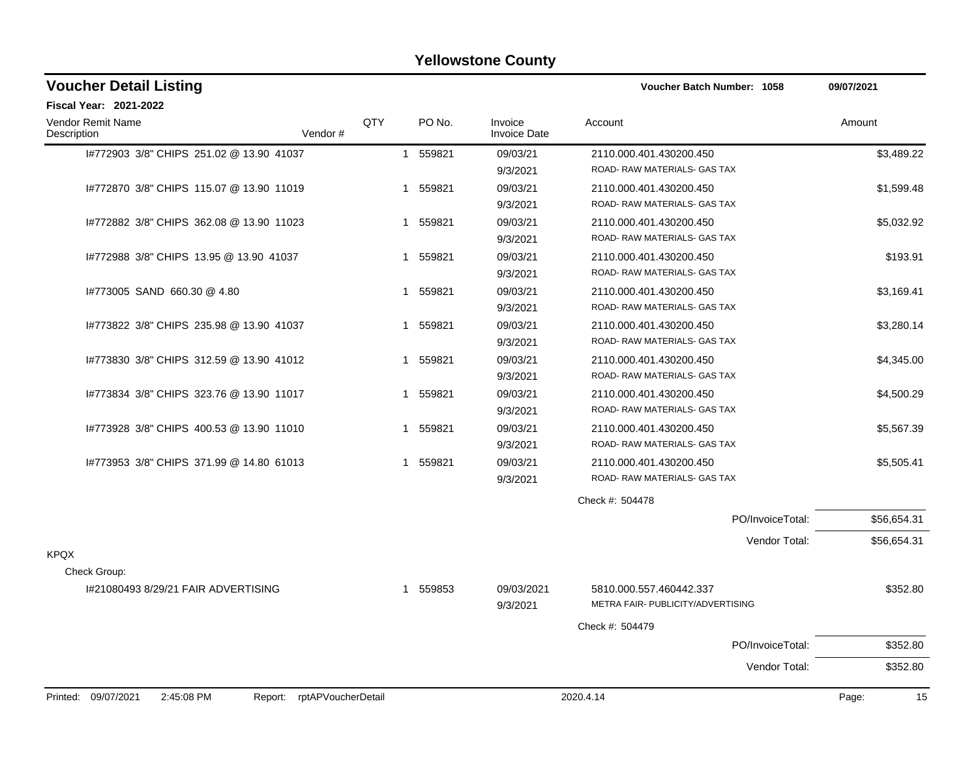| <b>Voucher Detail Listing</b>                                   |     |          |                                | Voucher Batch Number: 1058        | 09/07/2021  |
|-----------------------------------------------------------------|-----|----------|--------------------------------|-----------------------------------|-------------|
| Fiscal Year: 2021-2022                                          |     |          |                                |                                   |             |
| Vendor Remit Name<br>Vendor#<br>Description                     | QTY | PO No.   | Invoice<br><b>Invoice Date</b> | Account                           | Amount      |
| 1#772903 3/8" CHIPS 251.02 @ 13.90 41037                        |     | 1 559821 | 09/03/21                       | 2110.000.401.430200.450           | \$3,489.22  |
|                                                                 |     |          | 9/3/2021                       | ROAD-RAW MATERIALS- GAS TAX       |             |
| I#772870 3/8" CHIPS 115.07 @ 13.90 11019                        |     | 1 559821 | 09/03/21                       | 2110.000.401.430200.450           | \$1,599.48  |
|                                                                 |     |          | 9/3/2021                       | ROAD- RAW MATERIALS- GAS TAX      |             |
| 1#772882 3/8" CHIPS 362.08 @ 13.90 11023                        |     | 1 559821 | 09/03/21                       | 2110.000.401.430200.450           | \$5,032.92  |
|                                                                 |     |          | 9/3/2021                       | ROAD-RAW MATERIALS- GAS TAX       |             |
| 1#772988 3/8" CHIPS 13.95 @ 13.90 41037                         |     | 1 559821 | 09/03/21                       | 2110.000.401.430200.450           | \$193.91    |
|                                                                 |     |          | 9/3/2021                       | ROAD-RAW MATERIALS- GAS TAX       |             |
| 1#773005 SAND 660.30 @ 4.80                                     | 1   | 559821   | 09/03/21                       | 2110.000.401.430200.450           | \$3,169.41  |
|                                                                 |     |          | 9/3/2021                       | ROAD-RAW MATERIALS- GAS TAX       |             |
| 1#773822 3/8" CHIPS 235.98 @ 13.90 41037                        | 1   | 559821   | 09/03/21                       | 2110.000.401.430200.450           | \$3,280.14  |
|                                                                 |     |          | 9/3/2021                       | ROAD-RAW MATERIALS- GAS TAX       |             |
| 1#773830 3/8" CHIPS 312.59 @ 13.90 41012                        | 1   | 559821   | 09/03/21                       | 2110.000.401.430200.450           | \$4,345.00  |
|                                                                 |     |          | 9/3/2021                       | ROAD- RAW MATERIALS- GAS TAX      |             |
| 1#773834 3/8" CHIPS 323.76 @ 13.90 11017                        | 1   | 559821   | 09/03/21                       | 2110.000.401.430200.450           | \$4,500.29  |
|                                                                 |     |          | 9/3/2021                       | ROAD-RAW MATERIALS- GAS TAX       |             |
| 1#773928 3/8" CHIPS 400.53 @ 13.90 11010                        | 1   | 559821   | 09/03/21                       | 2110.000.401.430200.450           | \$5,567.39  |
|                                                                 |     |          | 9/3/2021                       | ROAD-RAW MATERIALS- GAS TAX       |             |
| 1#773953 3/8" CHIPS 371.99 @ 14.80 61013                        |     | 1 559821 | 09/03/21                       | 2110.000.401.430200.450           | \$5,505.41  |
|                                                                 |     |          | 9/3/2021                       | ROAD- RAW MATERIALS- GAS TAX      |             |
|                                                                 |     |          |                                | Check #: 504478                   |             |
|                                                                 |     |          |                                | PO/InvoiceTotal:                  | \$56,654.31 |
|                                                                 |     |          |                                | Vendor Total:                     | \$56,654.31 |
| <b>KPQX</b>                                                     |     |          |                                |                                   |             |
| Check Group:                                                    |     |          |                                |                                   |             |
| 1#21080493 8/29/21 FAIR ADVERTISING                             |     | 1 559853 | 09/03/2021                     | 5810.000.557.460442.337           | \$352.80    |
|                                                                 |     |          | 9/3/2021                       | METRA FAIR- PUBLICITY/ADVERTISING |             |
|                                                                 |     |          |                                | Check #: 504479                   |             |
|                                                                 |     |          |                                | PO/InvoiceTotal:                  | \$352.80    |
|                                                                 |     |          |                                | Vendor Total:                     | \$352.80    |
| Printed: 09/07/2021<br>2:45:08 PM<br>Report: rptAPVoucherDetail |     |          |                                | 2020.4.14                         | Page:<br>15 |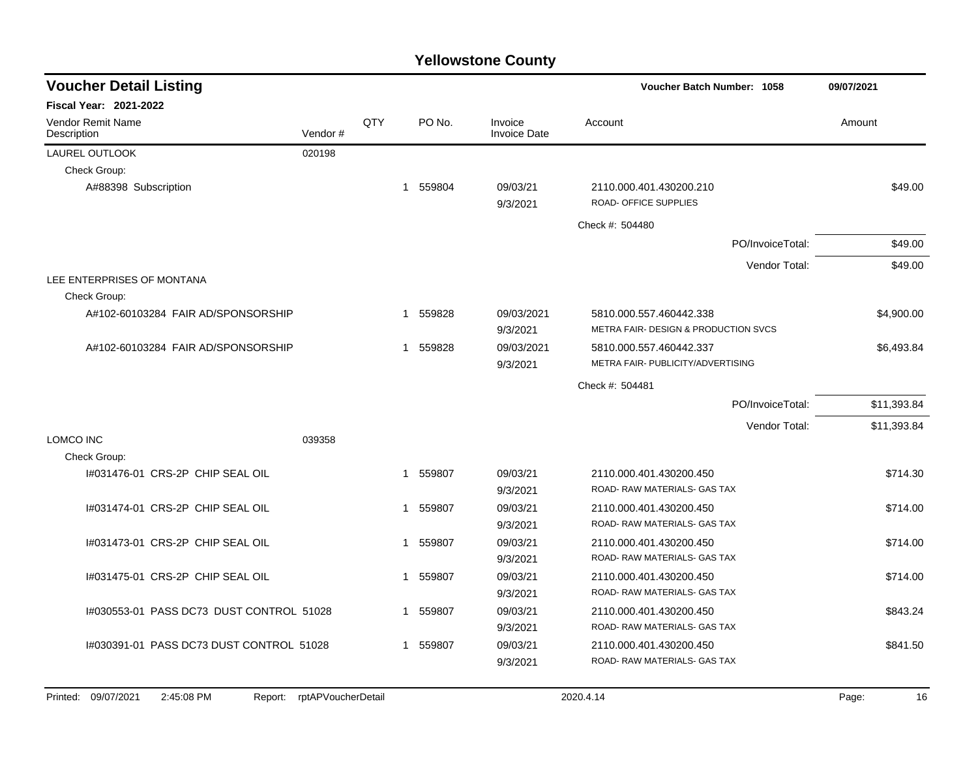| <b>Voucher Detail Listing</b>                |                    |     |          |                                | Voucher Batch Number: 1058                                                 | 09/07/2021  |
|----------------------------------------------|--------------------|-----|----------|--------------------------------|----------------------------------------------------------------------------|-------------|
| <b>Fiscal Year: 2021-2022</b>                |                    |     |          |                                |                                                                            |             |
| <b>Vendor Remit Name</b><br>Description      | Vendor#            | QTY | PO No.   | Invoice<br><b>Invoice Date</b> | Account                                                                    | Amount      |
| LAUREL OUTLOOK                               | 020198             |     |          |                                |                                                                            |             |
| Check Group:                                 |                    |     |          |                                |                                                                            |             |
| A#88398 Subscription                         |                    |     | 1 559804 | 09/03/21<br>9/3/2021           | 2110.000.401.430200.210<br>ROAD- OFFICE SUPPLIES                           | \$49.00     |
|                                              |                    |     |          |                                | Check #: 504480                                                            |             |
|                                              |                    |     |          |                                | PO/InvoiceTotal:                                                           | \$49.00     |
|                                              |                    |     |          |                                | Vendor Total:                                                              | \$49.00     |
| LEE ENTERPRISES OF MONTANA                   |                    |     |          |                                |                                                                            |             |
| Check Group:                                 |                    |     |          |                                |                                                                            |             |
| A#102-60103284 FAIR AD/SPONSORSHIP           |                    |     | 1 559828 | 09/03/2021<br>9/3/2021         | 5810.000.557.460442.338<br><b>METRA FAIR- DESIGN &amp; PRODUCTION SVCS</b> | \$4,900.00  |
| A#102-60103284 FAIR AD/SPONSORSHIP           |                    |     | 1 559828 | 09/03/2021<br>9/3/2021         | 5810.000.557.460442.337<br>METRA FAIR- PUBLICITY/ADVERTISING               | \$6,493.84  |
|                                              |                    |     |          |                                | Check #: 504481                                                            |             |
|                                              |                    |     |          |                                | PO/InvoiceTotal:                                                           | \$11,393.84 |
|                                              |                    |     |          |                                | Vendor Total:                                                              | \$11,393.84 |
| LOMCO INC                                    | 039358             |     |          |                                |                                                                            |             |
| Check Group:                                 |                    |     |          |                                |                                                                            |             |
| 1#031476-01 CRS-2P CHIP SEAL OIL             |                    | 1   | 559807   | 09/03/21<br>9/3/2021           | 2110.000.401.430200.450<br>ROAD- RAW MATERIALS- GAS TAX                    | \$714.30    |
| 1#031474-01 CRS-2P CHIP SEAL OIL             |                    | 1   | 559807   | 09/03/21<br>9/3/2021           | 2110.000.401.430200.450<br>ROAD- RAW MATERIALS- GAS TAX                    | \$714.00    |
| I#031473-01 CRS-2P CHIP SEAL OIL             |                    | 1   | 559807   | 09/03/21<br>9/3/2021           | 2110.000.401.430200.450<br>ROAD-RAW MATERIALS- GAS TAX                     | \$714.00    |
| 1#031475-01 CRS-2P CHIP SEAL OIL             |                    | 1   | 559807   | 09/03/21<br>9/3/2021           | 2110.000.401.430200.450<br>ROAD- RAW MATERIALS- GAS TAX                    | \$714.00    |
| 1#030553-01 PASS DC73 DUST CONTROL 51028     |                    | 1   | 559807   | 09/03/21<br>9/3/2021           | 2110.000.401.430200.450<br>ROAD-RAW MATERIALS- GAS TAX                     | \$843.24    |
| 1#030391-01 PASS DC73 DUST CONTROL 51028     |                    | 1   | 559807   | 09/03/21<br>9/3/2021           | 2110.000.401.430200.450<br>ROAD- RAW MATERIALS- GAS TAX                    | \$841.50    |
| Printed: 09/07/2021<br>2:45:08 PM<br>Report: | rptAPVoucherDetail |     |          |                                | 2020.4.14                                                                  | 16<br>Page: |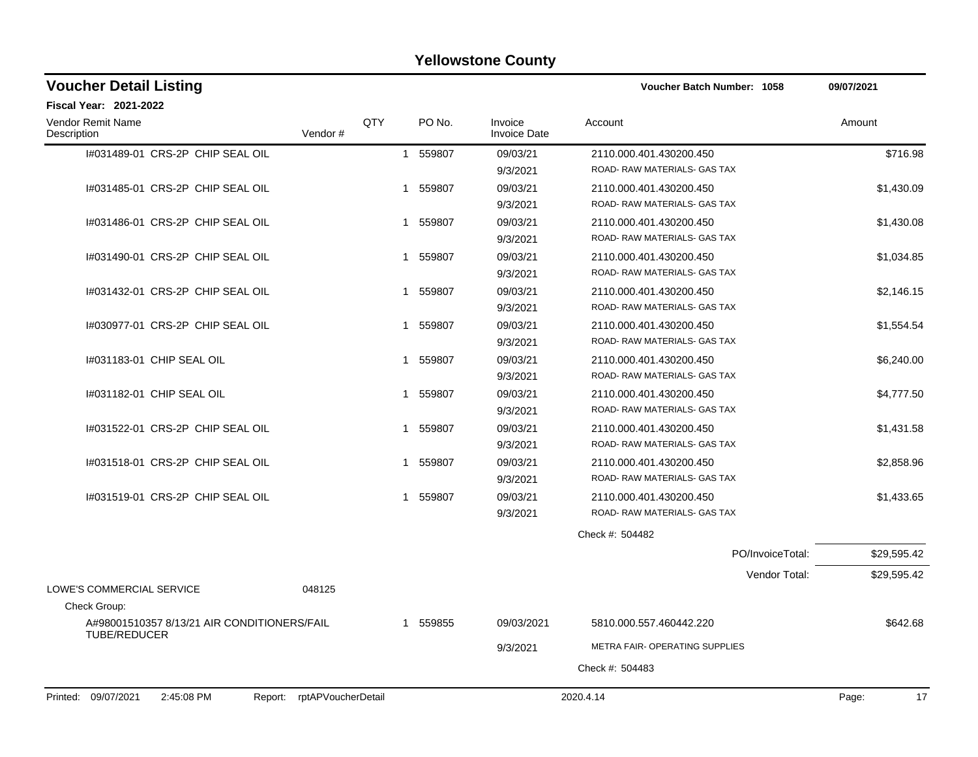| <b>Voucher Detail Listing</b>                                      |     |             |                                | Voucher Batch Number: 1058     | 09/07/2021  |
|--------------------------------------------------------------------|-----|-------------|--------------------------------|--------------------------------|-------------|
| Fiscal Year: 2021-2022                                             |     |             |                                |                                |             |
| Vendor Remit Name<br>Vendor#<br>Description                        | QTY | PO No.      | Invoice<br><b>Invoice Date</b> | Account                        | Amount      |
| I#031489-01 CRS-2P CHIP SEAL OIL                                   |     | 1 559807    | 09/03/21                       | 2110.000.401.430200.450        | \$716.98    |
|                                                                    |     |             | 9/3/2021                       | ROAD- RAW MATERIALS- GAS TAX   |             |
| I#031485-01 CRS-2P CHIP SEAL OIL                                   |     | 559807<br>1 | 09/03/21                       | 2110.000.401.430200.450        | \$1,430.09  |
|                                                                    |     |             | 9/3/2021                       | ROAD-RAW MATERIALS- GAS TAX    |             |
| I#031486-01 CRS-2P CHIP SEAL OIL                                   |     | 559807<br>1 | 09/03/21                       | 2110.000.401.430200.450        | \$1,430.08  |
|                                                                    |     |             | 9/3/2021                       | ROAD-RAW MATERIALS- GAS TAX    |             |
| 1#031490-01 CRS-2P CHIP SEAL OIL                                   | 1   | 559807      | 09/03/21                       | 2110.000.401.430200.450        | \$1,034.85  |
|                                                                    |     |             | 9/3/2021                       | ROAD- RAW MATERIALS- GAS TAX   |             |
| 1#031432-01 CRS-2P CHIP SEAL OIL                                   | 1   | 559807      | 09/03/21                       | 2110.000.401.430200.450        | \$2,146.15  |
|                                                                    |     |             | 9/3/2021                       | ROAD-RAW MATERIALS- GAS TAX    |             |
| 1#030977-01 CRS-2P CHIP SEAL OIL                                   | 1   | 559807      | 09/03/21                       | 2110.000.401.430200.450        | \$1,554.54  |
|                                                                    |     |             | 9/3/2021                       | ROAD-RAW MATERIALS- GAS TAX    |             |
| 1#031183-01 CHIP SEAL OIL                                          |     | 559807      | 09/03/21                       | 2110.000.401.430200.450        | \$6,240.00  |
|                                                                    |     |             | 9/3/2021                       | ROAD-RAW MATERIALS- GAS TAX    |             |
| 1#031182-01 CHIP SEAL OIL                                          | 1   | 559807      | 09/03/21                       | 2110.000.401.430200.450        | \$4,777.50  |
|                                                                    |     |             | 9/3/2021                       | ROAD- RAW MATERIALS- GAS TAX   |             |
| 1#031522-01 CRS-2P CHIP SEAL OIL                                   | 1   | 559807      | 09/03/21                       | 2110.000.401.430200.450        | \$1,431.58  |
|                                                                    |     |             | 9/3/2021                       | ROAD-RAW MATERIALS- GAS TAX    |             |
| 1#031518-01 CRS-2P CHIP SEAL OIL                                   |     | 559807<br>1 | 09/03/21                       | 2110.000.401.430200.450        | \$2,858.96  |
|                                                                    |     |             | 9/3/2021                       | ROAD- RAW MATERIALS- GAS TAX   |             |
| 1#031519-01 CRS-2P CHIP SEAL OIL                                   |     | 559807<br>1 | 09/03/21                       | 2110.000.401.430200.450        | \$1,433.65  |
|                                                                    |     |             | 9/3/2021                       | ROAD- RAW MATERIALS- GAS TAX   |             |
|                                                                    |     |             |                                | Check #: 504482                |             |
|                                                                    |     |             |                                | PO/InvoiceTotal:               | \$29,595.42 |
|                                                                    |     |             |                                | Vendor Total:                  | \$29,595.42 |
| LOWE'S COMMERCIAL SERVICE<br>048125                                |     |             |                                |                                |             |
| Check Group:                                                       |     |             |                                |                                |             |
| A#98001510357 8/13/21 AIR CONDITIONERS/FAIL<br><b>TUBE/REDUCER</b> |     | 1 559855    | 09/03/2021                     | 5810.000.557.460442.220        | \$642.68    |
|                                                                    |     |             | 9/3/2021                       | METRA FAIR- OPERATING SUPPLIES |             |
|                                                                    |     |             |                                | Check #: 504483                |             |
| 2:45:08 PM<br>Report: rptAPVoucherDetail<br>Printed: 09/07/2021    |     |             |                                | 2020.4.14                      | 17<br>Page: |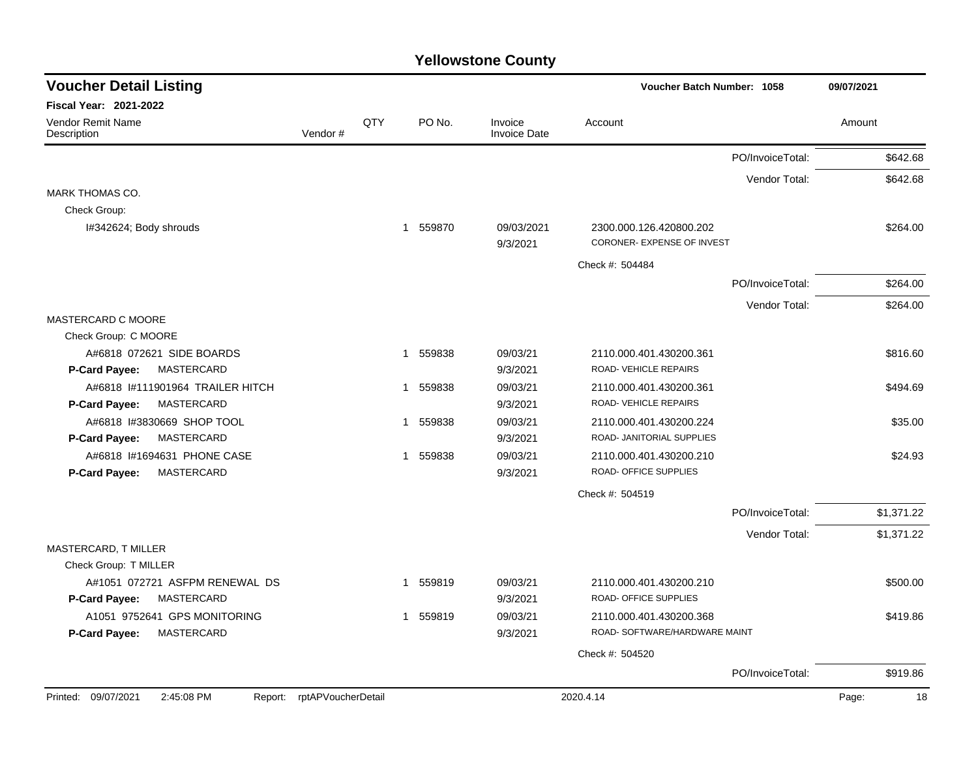| <b>Voucher Detail Listing</b>                                   |                    |     |                          |                                | <b>Voucher Batch Number: 1058</b>                        |                  | 09/07/2021  |
|-----------------------------------------------------------------|--------------------|-----|--------------------------|--------------------------------|----------------------------------------------------------|------------------|-------------|
| <b>Fiscal Year: 2021-2022</b>                                   |                    |     |                          |                                |                                                          |                  |             |
| <b>Vendor Remit Name</b><br>Description                         | Vendor#            | QTY | PO No.                   | Invoice<br><b>Invoice Date</b> | Account                                                  |                  | Amount      |
|                                                                 |                    |     |                          |                                |                                                          | PO/InvoiceTotal: | \$642.68    |
|                                                                 |                    |     |                          |                                |                                                          | Vendor Total:    | \$642.68    |
| <b>MARK THOMAS CO.</b>                                          |                    |     |                          |                                |                                                          |                  |             |
| Check Group:                                                    |                    |     |                          |                                |                                                          |                  |             |
| I#342624; Body shrouds                                          |                    |     | 559870<br>$\overline{1}$ | 09/03/2021<br>9/3/2021         | 2300.000.126.420800.202<br>CORONER- EXPENSE OF INVEST    |                  | \$264.00    |
|                                                                 |                    |     |                          |                                | Check #: 504484                                          |                  |             |
|                                                                 |                    |     |                          |                                |                                                          | PO/InvoiceTotal: | \$264.00    |
|                                                                 |                    |     |                          |                                |                                                          | Vendor Total:    | \$264.00    |
| MASTERCARD C MOORE                                              |                    |     |                          |                                |                                                          |                  |             |
| Check Group: C MOORE                                            |                    |     |                          |                                |                                                          |                  |             |
| A#6818 072621 SIDE BOARDS<br><b>MASTERCARD</b><br>P-Card Payee: |                    |     | 559838<br>$\mathbf{1}$   | 09/03/21<br>9/3/2021           | 2110.000.401.430200.361<br>ROAD-VEHICLE REPAIRS          |                  | \$816.60    |
| A#6818 #111901964 TRAILER HITCH                                 |                    |     | 559838<br>1              | 09/03/21                       | 2110.000.401.430200.361                                  |                  | \$494.69    |
| <b>P-Card Payee:</b><br>MASTERCARD                              |                    |     |                          | 9/3/2021                       | ROAD-VEHICLE REPAIRS                                     |                  |             |
| A#6818 I#3830669 SHOP TOOL                                      |                    |     | 559838<br>$\mathbf{1}$   | 09/03/21                       | 2110.000.401.430200.224                                  |                  | \$35.00     |
| P-Card Payee:<br>MASTERCARD                                     |                    |     |                          | 9/3/2021                       | ROAD- JANITORIAL SUPPLIES                                |                  |             |
| A#6818 I#1694631 PHONE CASE                                     |                    |     | 1 559838                 | 09/03/21                       | 2110.000.401.430200.210                                  |                  | \$24.93     |
| MASTERCARD<br>P-Card Payee:                                     |                    |     |                          | 9/3/2021                       | ROAD- OFFICE SUPPLIES                                    |                  |             |
|                                                                 |                    |     |                          |                                | Check #: 504519                                          |                  |             |
|                                                                 |                    |     |                          |                                |                                                          | PO/InvoiceTotal: | \$1,371.22  |
|                                                                 |                    |     |                          |                                |                                                          | Vendor Total:    | \$1,371.22  |
| MASTERCARD, T MILLER                                            |                    |     |                          |                                |                                                          |                  |             |
| Check Group: T MILLER                                           |                    |     |                          |                                |                                                          |                  |             |
| A#1051 072721 ASFPM RENEWAL DS                                  |                    |     | 1 559819                 | 09/03/21                       | 2110.000.401.430200.210<br>ROAD- OFFICE SUPPLIES         |                  | \$500.00    |
| P-Card Payee:<br>MASTERCARD                                     |                    |     |                          | 9/3/2021                       |                                                          |                  |             |
| A1051 9752641 GPS MONITORING<br>MASTERCARD<br>P-Card Payee:     |                    |     | 1 559819                 | 09/03/21<br>9/3/2021           | 2110.000.401.430200.368<br>ROAD- SOFTWARE/HARDWARE MAINT |                  | \$419.86    |
|                                                                 |                    |     |                          |                                | Check #: 504520                                          |                  |             |
|                                                                 |                    |     |                          |                                |                                                          | PO/InvoiceTotal: | \$919.86    |
| Printed: 09/07/2021<br>2:45:08 PM<br>Report:                    | rptAPVoucherDetail |     |                          |                                | 2020.4.14                                                |                  | Page:<br>18 |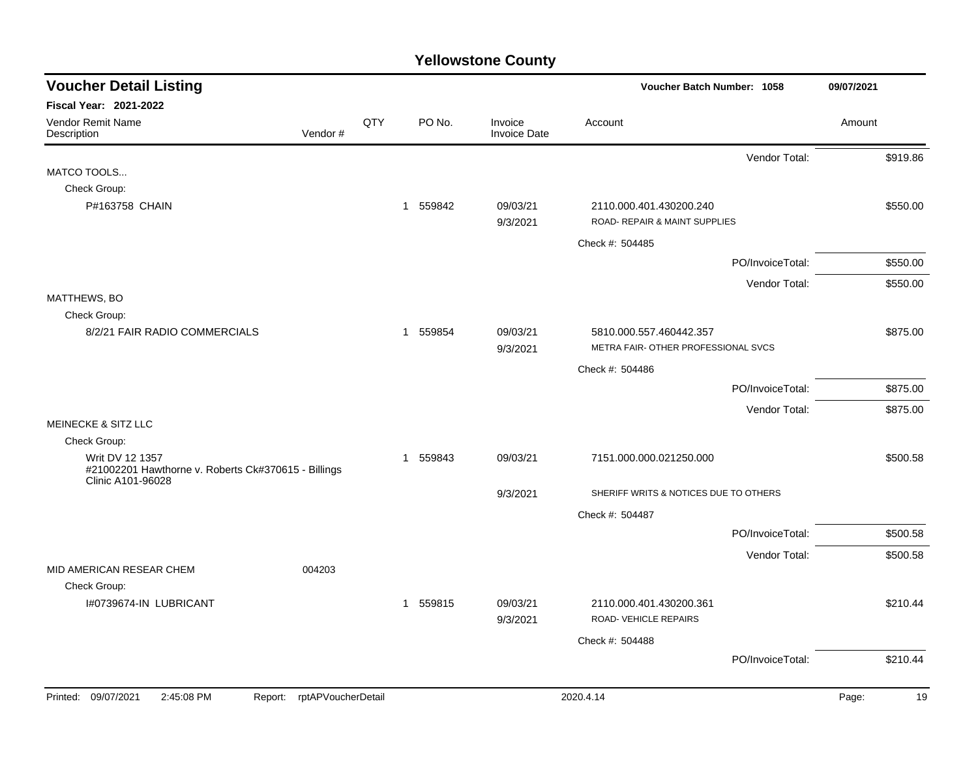| <b>Voucher Detail Listing</b>                                          |     |          |                                | Voucher Batch Number: 1058                                     |                  | 09/07/2021  |
|------------------------------------------------------------------------|-----|----------|--------------------------------|----------------------------------------------------------------|------------------|-------------|
| Fiscal Year: 2021-2022                                                 |     |          |                                |                                                                |                  |             |
| <b>Vendor Remit Name</b><br>Vendor#<br>Description                     | QTY | PO No.   | Invoice<br><b>Invoice Date</b> | Account                                                        |                  | Amount      |
|                                                                        |     |          |                                |                                                                | Vendor Total:    | \$919.86    |
| MATCO TOOLS                                                            |     |          |                                |                                                                |                  |             |
| Check Group:                                                           |     |          |                                |                                                                |                  |             |
| P#163758 CHAIN                                                         |     | 1 559842 | 09/03/21<br>9/3/2021           | 2110.000.401.430200.240<br>ROAD- REPAIR & MAINT SUPPLIES       |                  | \$550.00    |
|                                                                        |     |          |                                | Check #: 504485                                                |                  |             |
|                                                                        |     |          |                                |                                                                | PO/InvoiceTotal: | \$550.00    |
|                                                                        |     |          |                                |                                                                | Vendor Total:    | \$550.00    |
| MATTHEWS, BO                                                           |     |          |                                |                                                                |                  |             |
| Check Group:                                                           |     |          |                                |                                                                |                  |             |
| 8/2/21 FAIR RADIO COMMERCIALS                                          |     | 1 559854 | 09/03/21<br>9/3/2021           | 5810.000.557.460442.357<br>METRA FAIR- OTHER PROFESSIONAL SVCS |                  | \$875.00    |
|                                                                        |     |          |                                |                                                                |                  |             |
|                                                                        |     |          |                                | Check #: 504486                                                |                  |             |
|                                                                        |     |          |                                |                                                                | PO/InvoiceTotal: | \$875.00    |
| <b>MEINECKE &amp; SITZ LLC</b>                                         |     |          |                                |                                                                | Vendor Total:    | \$875.00    |
| Check Group:                                                           |     |          |                                |                                                                |                  |             |
| Writ DV 12 1357<br>#21002201 Hawthorne v. Roberts Ck#370615 - Billings |     | 1 559843 | 09/03/21                       | 7151.000.000.021250.000                                        |                  | \$500.58    |
| Clinic A101-96028                                                      |     |          | 9/3/2021                       | SHERIFF WRITS & NOTICES DUE TO OTHERS                          |                  |             |
|                                                                        |     |          |                                | Check #: 504487                                                |                  |             |
|                                                                        |     |          |                                |                                                                | PO/InvoiceTotal: | \$500.58    |
|                                                                        |     |          |                                |                                                                | Vendor Total:    | \$500.58    |
| MID AMERICAN RESEAR CHEM<br>004203                                     |     |          |                                |                                                                |                  |             |
| Check Group:                                                           |     |          |                                |                                                                |                  |             |
| I#0739674-IN LUBRICANT                                                 |     | 1 559815 | 09/03/21<br>9/3/2021           | 2110.000.401.430200.361<br>ROAD-VEHICLE REPAIRS                |                  | \$210.44    |
|                                                                        |     |          |                                | Check #: 504488                                                |                  |             |
|                                                                        |     |          |                                |                                                                | PO/InvoiceTotal: | \$210.44    |
| Printed: 09/07/2021<br>2:45:08 PM<br>rptAPVoucherDetail<br>Report:     |     |          |                                | 2020.4.14                                                      |                  | 19<br>Page: |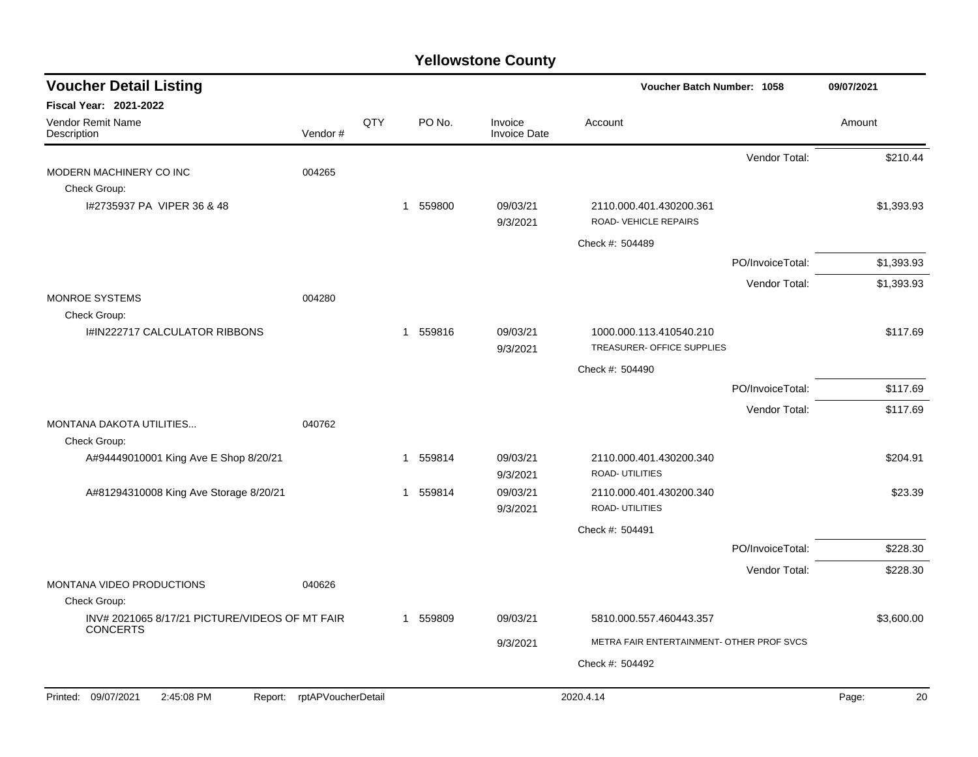| <b>Voucher Detail Listing</b>                              |                    |     |             |                                | Voucher Batch Number: 1058                            |                  | 09/07/2021  |
|------------------------------------------------------------|--------------------|-----|-------------|--------------------------------|-------------------------------------------------------|------------------|-------------|
| Fiscal Year: 2021-2022<br>Vendor Remit Name<br>Description | Vendor#            | QTY | PO No.      | Invoice<br><b>Invoice Date</b> | Account                                               |                  | Amount      |
|                                                            |                    |     |             |                                |                                                       | Vendor Total:    | \$210.44    |
| MODERN MACHINERY CO INC<br>Check Group:                    | 004265             |     |             |                                |                                                       |                  |             |
| I#2735937 PA VIPER 36 & 48                                 |                    |     | 1 559800    | 09/03/21<br>9/3/2021           | 2110.000.401.430200.361<br>ROAD-VEHICLE REPAIRS       |                  | \$1,393.93  |
|                                                            |                    |     |             |                                | Check #: 504489                                       |                  |             |
|                                                            |                    |     |             |                                |                                                       | PO/InvoiceTotal: | \$1,393.93  |
|                                                            |                    |     |             |                                |                                                       | Vendor Total:    | \$1,393.93  |
| <b>MONROE SYSTEMS</b>                                      | 004280             |     |             |                                |                                                       |                  |             |
| Check Group:<br>I#IN222717 CALCULATOR RIBBONS              |                    |     | 1 559816    | 09/03/21<br>9/3/2021           | 1000.000.113.410540.210<br>TREASURER- OFFICE SUPPLIES |                  | \$117.69    |
|                                                            |                    |     |             |                                | Check #: 504490                                       |                  |             |
|                                                            |                    |     |             |                                |                                                       | PO/InvoiceTotal: | \$117.69    |
|                                                            |                    |     |             |                                |                                                       | Vendor Total:    | \$117.69    |
| MONTANA DAKOTA UTILITIES<br>Check Group:                   | 040762             |     |             |                                |                                                       |                  |             |
| A#94449010001 King Ave E Shop 8/20/21                      |                    |     | 559814<br>1 | 09/03/21<br>9/3/2021           | 2110.000.401.430200.340<br>ROAD- UTILITIES            |                  | \$204.91    |
| A#81294310008 King Ave Storage 8/20/21                     |                    |     | 1 559814    | 09/03/21<br>9/3/2021           | 2110.000.401.430200.340<br><b>ROAD- UTILITIES</b>     |                  | \$23.39     |
|                                                            |                    |     |             |                                | Check #: 504491                                       |                  |             |
|                                                            |                    |     |             |                                |                                                       | PO/InvoiceTotal: | \$228.30    |
|                                                            |                    |     |             |                                |                                                       | Vendor Total:    | \$228.30    |
| MONTANA VIDEO PRODUCTIONS<br>Check Group:                  | 040626             |     |             |                                |                                                       |                  |             |
| INV# 2021065 8/17/21 PICTURE/VIDEOS OF MT FAIR             |                    |     | 559809<br>1 | 09/03/21                       | 5810.000.557.460443.357                               |                  | \$3,600.00  |
| <b>CONCERTS</b>                                            |                    |     |             | 9/3/2021                       | METRA FAIR ENTERTAINMENT- OTHER PROF SVCS             |                  |             |
|                                                            |                    |     |             |                                | Check #: 504492                                       |                  |             |
| Printed: 09/07/2021<br>2:45:08 PM<br>Report:               | rptAPVoucherDetail |     |             |                                | 2020.4.14                                             |                  | 20<br>Page: |
|                                                            |                    |     |             |                                |                                                       |                  |             |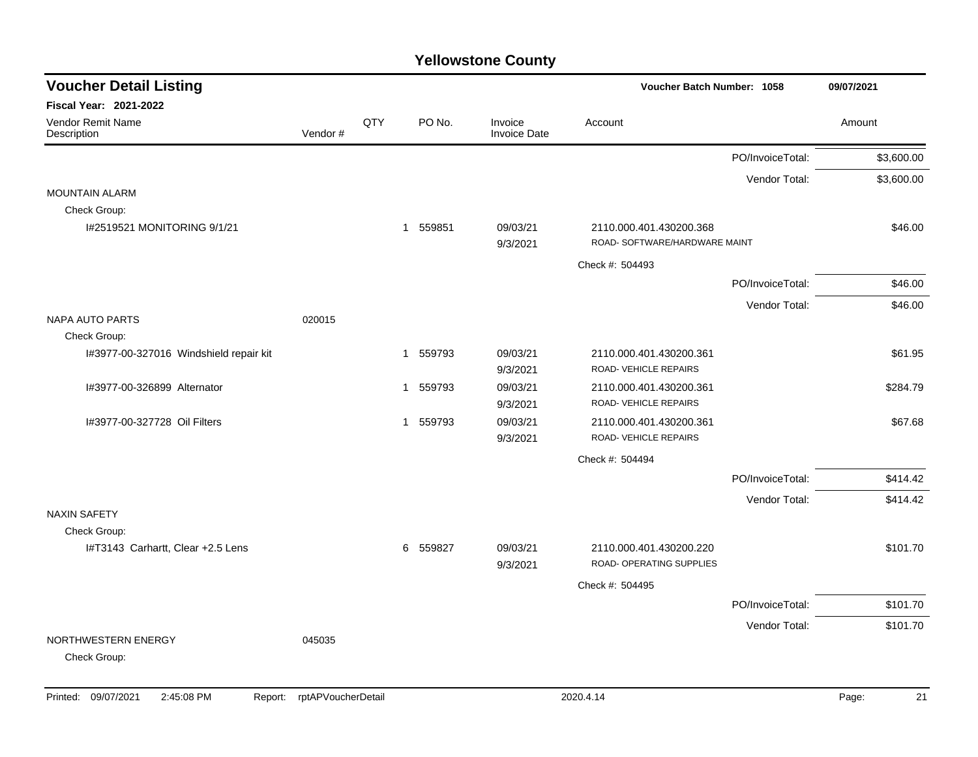| <b>Voucher Detail Listing</b>                     |         |     |          |        |                                |                                                          | Voucher Batch Number: 1058 |            |  |  |
|---------------------------------------------------|---------|-----|----------|--------|--------------------------------|----------------------------------------------------------|----------------------------|------------|--|--|
| Fiscal Year: 2021-2022                            |         |     |          |        |                                |                                                          |                            |            |  |  |
| Vendor Remit Name<br>Description                  | Vendor# | QTY |          | PO No. | Invoice<br><b>Invoice Date</b> | Account                                                  |                            | Amount     |  |  |
|                                                   |         |     |          |        |                                |                                                          | PO/InvoiceTotal:           | \$3,600.00 |  |  |
|                                                   |         |     |          |        |                                |                                                          | Vendor Total:              | \$3,600.00 |  |  |
| <b>MOUNTAIN ALARM</b>                             |         |     |          |        |                                |                                                          |                            |            |  |  |
| Check Group:                                      |         |     |          |        |                                |                                                          |                            |            |  |  |
| I#2519521 MONITORING 9/1/21                       |         |     | 1 559851 |        | 09/03/21<br>9/3/2021           | 2110.000.401.430200.368<br>ROAD- SOFTWARE/HARDWARE MAINT |                            | \$46.00    |  |  |
|                                                   |         |     |          |        |                                | Check #: 504493                                          |                            |            |  |  |
|                                                   |         |     |          |        |                                |                                                          | PO/InvoiceTotal:           | \$46.00    |  |  |
|                                                   |         |     |          |        |                                |                                                          | Vendor Total:              | \$46.00    |  |  |
| NAPA AUTO PARTS                                   | 020015  |     |          |        |                                |                                                          |                            |            |  |  |
| Check Group:                                      |         |     |          |        |                                |                                                          |                            |            |  |  |
| I#3977-00-327016 Windshield repair kit            |         |     | 1        | 559793 | 09/03/21<br>9/3/2021           | 2110.000.401.430200.361<br>ROAD-VEHICLE REPAIRS          |                            | \$61.95    |  |  |
| I#3977-00-326899 Alternator                       |         |     | 1 559793 |        | 09/03/21<br>9/3/2021           | 2110.000.401.430200.361<br>ROAD-VEHICLE REPAIRS          |                            | \$284.79   |  |  |
| I#3977-00-327728 Oil Filters                      |         |     | 1 559793 |        | 09/03/21<br>9/3/2021           | 2110.000.401.430200.361<br>ROAD-VEHICLE REPAIRS          |                            | \$67.68    |  |  |
|                                                   |         |     |          |        |                                | Check #: 504494                                          |                            |            |  |  |
|                                                   |         |     |          |        |                                |                                                          | PO/InvoiceTotal:           | \$414.42   |  |  |
|                                                   |         |     |          |        |                                |                                                          | Vendor Total:              | \$414.42   |  |  |
| <b>NAXIN SAFETY</b>                               |         |     |          |        |                                |                                                          |                            |            |  |  |
| Check Group:<br>I#T3143 Carhartt, Clear +2.5 Lens |         |     | 6        | 559827 | 09/03/21<br>9/3/2021           | 2110.000.401.430200.220<br>ROAD- OPERATING SUPPLIES      |                            | \$101.70   |  |  |
|                                                   |         |     |          |        |                                | Check #: 504495                                          |                            |            |  |  |
|                                                   |         |     |          |        |                                |                                                          | PO/InvoiceTotal:           | \$101.70   |  |  |
|                                                   |         |     |          |        |                                |                                                          | Vendor Total:              | \$101.70   |  |  |
| NORTHWESTERN ENERGY<br>Check Group:               | 045035  |     |          |        |                                |                                                          |                            |            |  |  |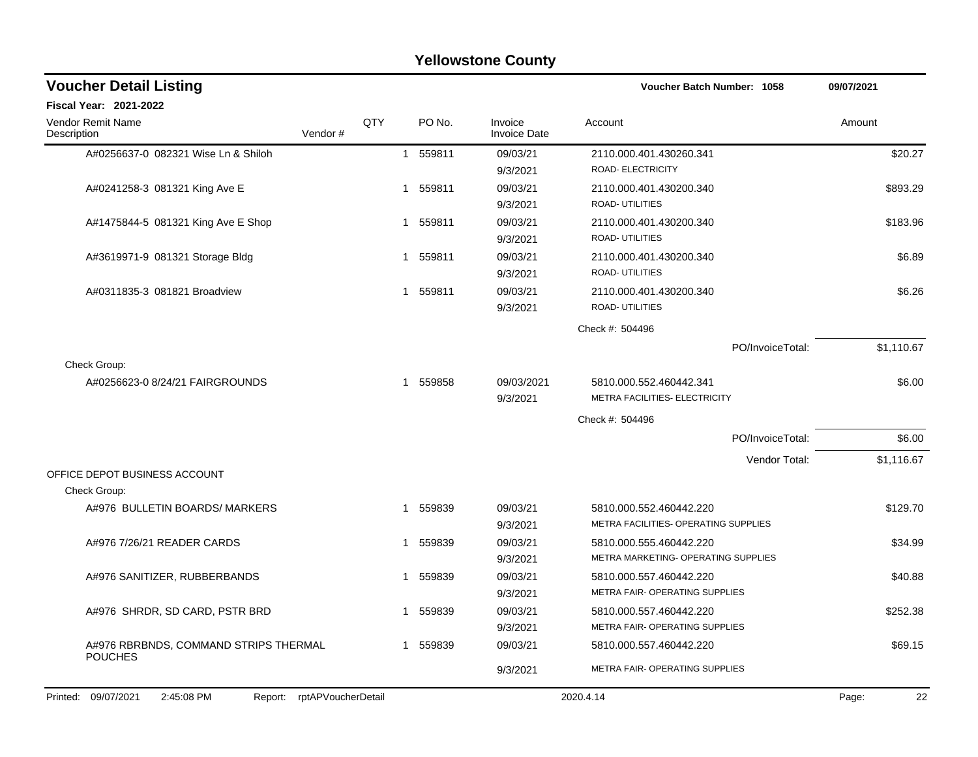|                                               |                    |                |                        | <b>I CIIOWSLUIIC COUIILY</b>   |                                                                 |             |
|-----------------------------------------------|--------------------|----------------|------------------------|--------------------------------|-----------------------------------------------------------------|-------------|
| <b>Voucher Detail Listing</b>                 |                    |                |                        |                                | Voucher Batch Number: 1058                                      | 09/07/2021  |
| <b>Fiscal Year: 2021-2022</b>                 |                    |                |                        |                                |                                                                 |             |
| <b>Vendor Remit Name</b><br>Description       | Vendor#            | <b>OTY</b>     | PO No.                 | Invoice<br><b>Invoice Date</b> | Account                                                         | Amount      |
| A#0256637-0 082321 Wise Ln & Shiloh           |                    | $\overline{1}$ | 559811                 | 09/03/21<br>9/3/2021           | 2110.000.401.430260.341<br>ROAD- ELECTRICITY                    | \$20.27     |
| A#0241258-3 081321 King Ave E                 |                    | $\mathbf{1}$   | 559811                 | 09/03/21<br>9/3/2021           | 2110.000.401.430200.340<br><b>ROAD- UTILITIES</b>               | \$893.29    |
| A#1475844-5 081321 King Ave E Shop            |                    |                | 559811<br>$\mathbf{1}$ | 09/03/21<br>9/3/2021           | 2110.000.401.430200.340<br><b>ROAD- UTILITIES</b>               | \$183.96    |
| A#3619971-9 081321 Storage Bldg               |                    | 1              | 559811                 | 09/03/21<br>9/3/2021           | 2110.000.401.430200.340<br>ROAD- UTILITIES                      | \$6.89      |
| A#0311835-3 081821 Broadview                  |                    | 1              | 559811                 | 09/03/21<br>9/3/2021           | 2110.000.401.430200.340<br><b>ROAD- UTILITIES</b>               | \$6.26      |
|                                               |                    |                |                        |                                | Check #: 504496                                                 |             |
|                                               |                    |                |                        |                                | PO/InvoiceTotal:                                                | \$1,110.67  |
| Check Group:                                  |                    |                |                        |                                |                                                                 |             |
| A#0256623-0 8/24/21 FAIRGROUNDS               |                    |                | 1 559858               | 09/03/2021<br>9/3/2021         | 5810.000.552.460442.341<br>METRA FACILITIES- ELECTRICITY        | \$6.00      |
|                                               |                    |                |                        |                                | Check #: 504496                                                 |             |
|                                               |                    |                |                        |                                | PO/InvoiceTotal:                                                | \$6.00      |
|                                               |                    |                |                        |                                | Vendor Total:                                                   | \$1,116.67  |
| OFFICE DEPOT BUSINESS ACCOUNT<br>Check Group: |                    |                |                        |                                |                                                                 |             |
| A#976 BULLETIN BOARDS/ MARKERS                |                    | 1              | 559839                 | 09/03/21<br>9/3/2021           | 5810.000.552.460442.220<br>METRA FACILITIES- OPERATING SUPPLIES | \$129.70    |
| A#976 7/26/21 READER CARDS                    |                    | 1              | 559839                 | 09/03/21<br>9/3/2021           | 5810.000.555.460442.220<br>METRA MARKETING- OPERATING SUPPLIES  | \$34.99     |
| A#976 SANITIZER, RUBBERBANDS                  |                    | 1              | 559839                 | 09/03/21<br>9/3/2021           | 5810.000.557.460442.220<br>METRA FAIR- OPERATING SUPPLIES       | \$40.88     |
| A#976 SHRDR, SD CARD, PSTR BRD                |                    | 1              | 559839                 | 09/03/21<br>9/3/2021           | 5810.000.557.460442.220<br>METRA FAIR- OPERATING SUPPLIES       | \$252.38    |
| A#976 RBRBNDS, COMMAND STRIPS THERMAL         |                    |                | 1 559839               | 09/03/21                       | 5810.000.557.460442.220                                         | \$69.15     |
| <b>POUCHES</b>                                |                    |                |                        | 9/3/2021                       | METRA FAIR- OPERATING SUPPLIES                                  |             |
| Printed: 09/07/2021<br>2:45:08 PM<br>Report:  | rptAPVoucherDetail |                |                        |                                | 2020.4.14                                                       | Page:<br>22 |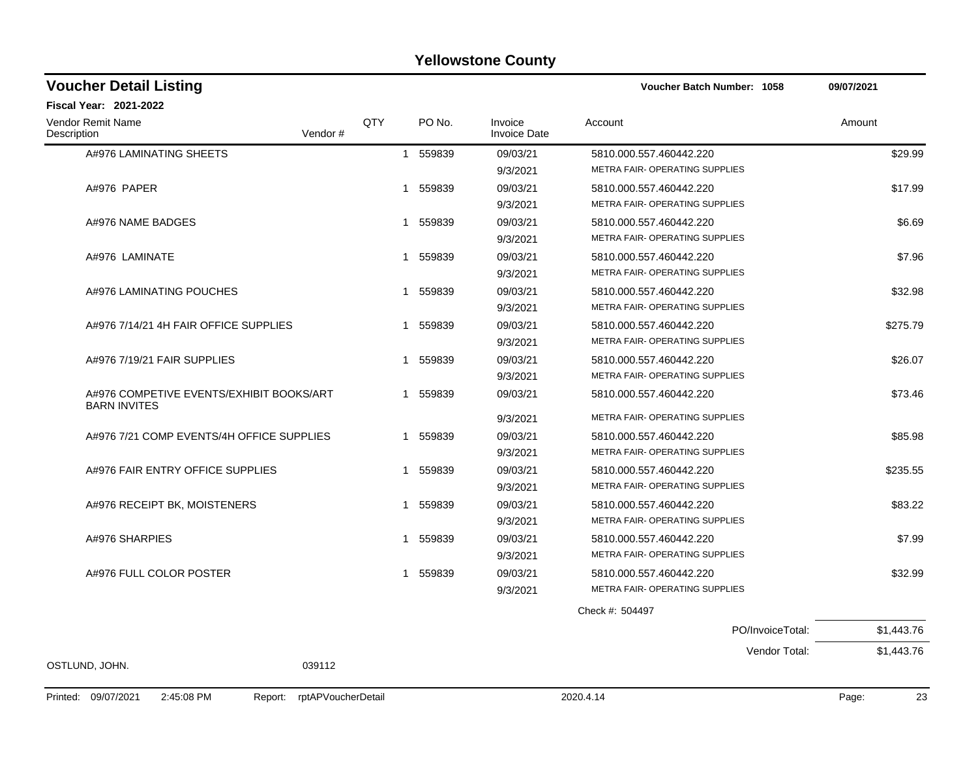| <b>Voucher Detail Listing</b>                                   |         |            |              |        |                                | Voucher Batch Number: 1058     |                  | 09/07/2021 |
|-----------------------------------------------------------------|---------|------------|--------------|--------|--------------------------------|--------------------------------|------------------|------------|
| Fiscal Year: 2021-2022                                          |         |            |              |        |                                |                                |                  |            |
| <b>Vendor Remit Name</b><br>Description                         | Vendor# | <b>QTY</b> |              | PO No. | Invoice<br><b>Invoice Date</b> | Account                        |                  | Amount     |
| A#976 LAMINATING SHEETS                                         |         |            | 1 559839     |        | 09/03/21                       | 5810.000.557.460442.220        |                  | \$29.99    |
|                                                                 |         |            |              |        | 9/3/2021                       | METRA FAIR- OPERATING SUPPLIES |                  |            |
| A#976 PAPER                                                     |         |            | $\mathbf{1}$ | 559839 | 09/03/21                       | 5810.000.557.460442.220        |                  | \$17.99    |
|                                                                 |         |            |              |        | 9/3/2021                       | METRA FAIR- OPERATING SUPPLIES |                  |            |
| A#976 NAME BADGES                                               |         | 1          |              | 559839 | 09/03/21                       | 5810.000.557.460442.220        |                  | \$6.69     |
|                                                                 |         |            |              |        | 9/3/2021                       | METRA FAIR-OPERATING SUPPLIES  |                  |            |
| A#976 LAMINATE                                                  |         | 1          |              | 559839 | 09/03/21                       | 5810.000.557.460442.220        |                  | \$7.96     |
|                                                                 |         |            |              |        | 9/3/2021                       | METRA FAIR-OPERATING SUPPLIES  |                  |            |
| A#976 LAMINATING POUCHES                                        |         | 1          |              | 559839 | 09/03/21                       | 5810.000.557.460442.220        |                  | \$32.98    |
|                                                                 |         |            |              |        | 9/3/2021                       | METRA FAIR- OPERATING SUPPLIES |                  |            |
| A#976 7/14/21 4H FAIR OFFICE SUPPLIES                           |         |            | 1            | 559839 | 09/03/21                       | 5810.000.557.460442.220        |                  | \$275.79   |
|                                                                 |         |            |              |        | 9/3/2021                       | METRA FAIR- OPERATING SUPPLIES |                  |            |
| A#976 7/19/21 FAIR SUPPLIES                                     |         | 1          |              | 559839 | 09/03/21                       | 5810.000.557.460442.220        |                  | \$26.07    |
|                                                                 |         |            |              |        | 9/3/2021                       | METRA FAIR- OPERATING SUPPLIES |                  |            |
| A#976 COMPETIVE EVENTS/EXHIBIT BOOKS/ART<br><b>BARN INVITES</b> |         |            | $\mathbf{1}$ | 559839 | 09/03/21                       | 5810.000.557.460442.220        |                  | \$73.46    |
|                                                                 |         |            |              |        | 9/3/2021                       | METRA FAIR- OPERATING SUPPLIES |                  |            |
| A#976 7/21 COMP EVENTS/4H OFFICE SUPPLIES                       |         | 1          |              | 559839 | 09/03/21                       | 5810.000.557.460442.220        |                  | \$85.98    |
|                                                                 |         |            |              |        | 9/3/2021                       | METRA FAIR- OPERATING SUPPLIES |                  |            |
| A#976 FAIR ENTRY OFFICE SUPPLIES                                |         | 1          |              | 559839 | 09/03/21                       | 5810.000.557.460442.220        |                  | \$235.55   |
|                                                                 |         |            |              |        | 9/3/2021                       | METRA FAIR- OPERATING SUPPLIES |                  |            |
| A#976 RECEIPT BK, MOISTENERS                                    |         | 1          |              | 559839 | 09/03/21                       | 5810.000.557.460442.220        |                  | \$83.22    |
|                                                                 |         |            |              |        | 9/3/2021                       | METRA FAIR- OPERATING SUPPLIES |                  |            |
| A#976 SHARPIES                                                  |         |            | 1            | 559839 | 09/03/21                       | 5810.000.557.460442.220        |                  | \$7.99     |
|                                                                 |         |            |              |        | 9/3/2021                       | METRA FAIR- OPERATING SUPPLIES |                  |            |
| A#976 FULL COLOR POSTER                                         |         | 1          |              | 559839 | 09/03/21                       | 5810.000.557.460442.220        |                  | \$32.99    |
|                                                                 |         |            |              |        | 9/3/2021                       | METRA FAIR- OPERATING SUPPLIES |                  |            |
|                                                                 |         |            |              |        |                                | Check #: 504497                |                  |            |
|                                                                 |         |            |              |        |                                |                                | PO/InvoiceTotal: | \$1,443.76 |
|                                                                 |         |            |              |        |                                |                                | Vendor Total:    | \$1,443.76 |
| OSTLUND, JOHN.                                                  | 039112  |            |              |        |                                |                                |                  |            |
|                                                                 |         |            |              |        |                                |                                |                  |            |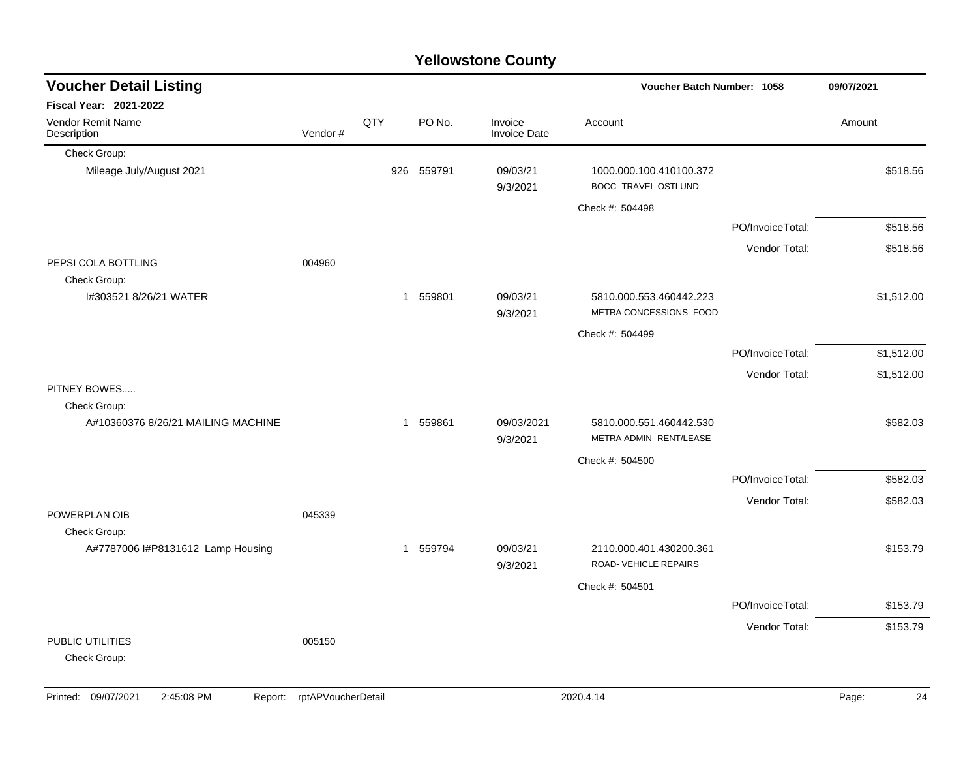|                                     |         |     |            | <b>I GILOWSTOTIE COUTILY</b> |                                                        |                  |            |
|-------------------------------------|---------|-----|------------|------------------------------|--------------------------------------------------------|------------------|------------|
| <b>Voucher Detail Listing</b>       |         |     |            |                              | Voucher Batch Number: 1058                             |                  | 09/07/2021 |
| Fiscal Year: 2021-2022              |         |     |            |                              |                                                        |                  |            |
| Vendor Remit Name<br>Description    | Vendor# | QTY | PO No.     | Invoice<br>Invoice Date      | Account                                                |                  | Amount     |
| Check Group:                        |         |     |            |                              |                                                        |                  |            |
| Mileage July/August 2021            |         |     | 926 559791 | 09/03/21<br>9/3/2021         | 1000.000.100.410100.372<br><b>BOCC- TRAVEL OSTLUND</b> |                  | \$518.56   |
|                                     |         |     |            |                              | Check #: 504498                                        |                  |            |
|                                     |         |     |            |                              |                                                        | PO/InvoiceTotal: | \$518.56   |
|                                     |         |     |            |                              |                                                        | Vendor Total:    | \$518.56   |
| PEPSI COLA BOTTLING<br>Check Group: | 004960  |     |            |                              |                                                        |                  |            |
| I#303521 8/26/21 WATER              |         |     | 1 559801   | 09/03/21<br>9/3/2021         | 5810.000.553.460442.223<br>METRA CONCESSIONS- FOOD     |                  | \$1,512.00 |
|                                     |         |     |            |                              | Check #: 504499                                        |                  |            |
|                                     |         |     |            |                              |                                                        | PO/InvoiceTotal: | \$1,512.00 |
|                                     |         |     |            |                              |                                                        | Vendor Total:    | \$1,512.00 |
| PITNEY BOWES<br>Check Group:        |         |     |            |                              |                                                        |                  |            |
| A#10360376 8/26/21 MAILING MACHINE  |         |     | 1 559861   | 09/03/2021<br>9/3/2021       | 5810.000.551.460442.530<br>METRA ADMIN- RENT/LEASE     |                  | \$582.03   |
|                                     |         |     |            |                              | Check #: 504500                                        |                  |            |
|                                     |         |     |            |                              |                                                        | PO/InvoiceTotal: | \$582.03   |
|                                     |         |     |            |                              |                                                        | Vendor Total:    | \$582.03   |
| POWERPLAN OIB<br>Check Group:       | 045339  |     |            |                              |                                                        |                  |            |
| A#7787006 I#P8131612 Lamp Housing   |         |     | 1 559794   | 09/03/21<br>9/3/2021         | 2110.000.401.430200.361<br>ROAD- VEHICLE REPAIRS       |                  | \$153.79   |
|                                     |         |     |            |                              | Check #: 504501                                        |                  |            |
|                                     |         |     |            |                              |                                                        | PO/InvoiceTotal: | \$153.79   |
|                                     |         |     |            |                              |                                                        | Vendor Total:    | \$153.79   |
| PUBLIC UTILITIES<br>Check Group:    | 005150  |     |            |                              |                                                        |                  |            |
|                                     |         |     |            |                              |                                                        |                  |            |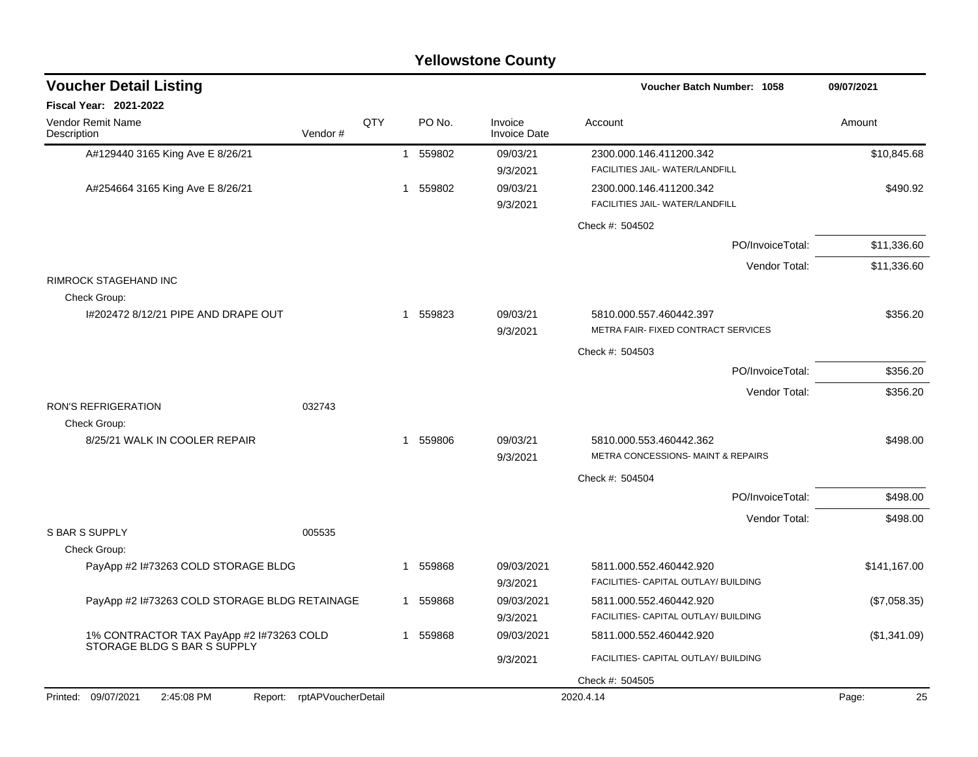| <b>Yellowstone County</b>                     |                    |     |   |          |                                |                                                               |              |  |  |  |
|-----------------------------------------------|--------------------|-----|---|----------|--------------------------------|---------------------------------------------------------------|--------------|--|--|--|
| <b>Voucher Detail Listing</b>                 |                    |     |   |          |                                | Voucher Batch Number: 1058                                    | 09/07/2021   |  |  |  |
| Fiscal Year: 2021-2022                        |                    |     |   |          |                                |                                                               |              |  |  |  |
| Vendor Remit Name<br>Description              | Vendor#            | QTY |   | PO No.   | Invoice<br><b>Invoice Date</b> | Account                                                       | Amount       |  |  |  |
| A#129440 3165 King Ave E 8/26/21              |                    |     |   | 1 559802 | 09/03/21                       | 2300.000.146.411200.342                                       | \$10,845.68  |  |  |  |
|                                               |                    |     |   |          | 9/3/2021                       | FACILITIES JAIL- WATER/LANDFILL                               |              |  |  |  |
| A#254664 3165 King Ave E 8/26/21              |                    |     | 1 | 559802   | 09/03/21                       | 2300.000.146.411200.342                                       | \$490.92     |  |  |  |
|                                               |                    |     |   |          | 9/3/2021                       | FACILITIES JAIL- WATER/LANDFILL                               |              |  |  |  |
|                                               |                    |     |   |          |                                | Check #: 504502                                               |              |  |  |  |
|                                               |                    |     |   |          |                                | PO/InvoiceTotal:                                              | \$11,336.60  |  |  |  |
|                                               |                    |     |   |          |                                | Vendor Total:                                                 | \$11,336.60  |  |  |  |
| RIMROCK STAGEHAND INC<br>Check Group:         |                    |     |   |          |                                |                                                               |              |  |  |  |
| 1#202472 8/12/21 PIPE AND DRAPE OUT           |                    |     |   | 1 559823 | 09/03/21                       | 5810.000.557.460442.397                                       | \$356.20     |  |  |  |
|                                               |                    |     |   |          | 9/3/2021                       | METRA FAIR- FIXED CONTRACT SERVICES                           |              |  |  |  |
|                                               |                    |     |   |          |                                | Check #: 504503                                               |              |  |  |  |
|                                               |                    |     |   |          |                                | PO/InvoiceTotal:                                              | \$356.20     |  |  |  |
|                                               |                    |     |   |          |                                | Vendor Total:                                                 | \$356.20     |  |  |  |
| <b>RON'S REFRIGERATION</b>                    | 032743             |     |   |          |                                |                                                               |              |  |  |  |
| Check Group:                                  |                    |     |   |          |                                |                                                               |              |  |  |  |
| 8/25/21 WALK IN COOLER REPAIR                 |                    |     |   | 1 559806 | 09/03/21                       | 5810.000.553.460442.362<br>METRA CONCESSIONS- MAINT & REPAIRS | \$498.00     |  |  |  |
|                                               |                    |     |   |          | 9/3/2021                       |                                                               |              |  |  |  |
|                                               |                    |     |   |          |                                | Check #: 504504                                               |              |  |  |  |
|                                               |                    |     |   |          |                                | PO/InvoiceTotal:                                              | \$498.00     |  |  |  |
| <b>S BAR S SUPPLY</b>                         | 005535             |     |   |          |                                | Vendor Total:                                                 | \$498.00     |  |  |  |
| Check Group:                                  |                    |     |   |          |                                |                                                               |              |  |  |  |
| PayApp #2 I#73263 COLD STORAGE BLDG           |                    |     |   | 559868   | 09/03/2021                     | 5811.000.552.460442.920                                       | \$141,167.00 |  |  |  |
|                                               |                    |     |   |          | 9/3/2021                       | FACILITIES- CAPITAL OUTLAY/ BUILDING                          |              |  |  |  |
| PayApp #2 I#73263 COLD STORAGE BLDG RETAINAGE |                    |     |   | 559868   | 09/03/2021                     | 5811.000.552.460442.920                                       | (\$7,058.35) |  |  |  |
|                                               |                    |     |   |          | 9/3/2021                       | FACILITIES- CAPITAL OUTLAY/ BUILDING                          |              |  |  |  |
| 1% CONTRACTOR TAX PayApp #2 1#73263 COLD      |                    |     |   | 1 559868 | 09/03/2021                     | 5811.000.552.460442.920                                       | (\$1,341.09) |  |  |  |
| STORAGE BLDG S BAR S SUPPLY                   |                    |     |   |          | 9/3/2021                       | FACILITIES- CAPITAL OUTLAY/ BUILDING                          |              |  |  |  |
|                                               |                    |     |   |          |                                | Check #: 504505                                               |              |  |  |  |
| Printed: 09/07/2021<br>2:45:08 PM<br>Report:  | rptAPVoucherDetail |     |   |          |                                | 2020.4.14                                                     | Page:<br>25  |  |  |  |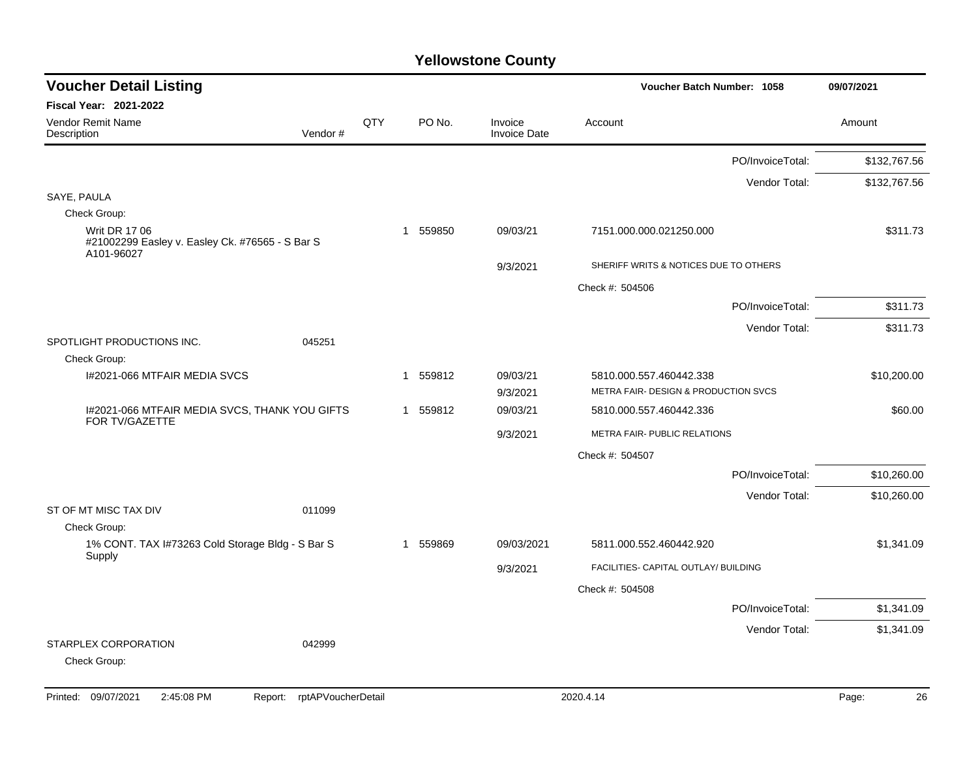| <b>Voucher Detail Listing</b>                                                         |         |     |                        |                                | Voucher Batch Number: 1058            | 09/07/2021   |
|---------------------------------------------------------------------------------------|---------|-----|------------------------|--------------------------------|---------------------------------------|--------------|
| <b>Fiscal Year: 2021-2022</b>                                                         |         |     |                        |                                |                                       |              |
| Vendor Remit Name<br>Description                                                      | Vendor# | QTY | PO No.                 | Invoice<br><b>Invoice Date</b> | Account                               | Amount       |
|                                                                                       |         |     |                        |                                | PO/InvoiceTotal:                      | \$132,767.56 |
|                                                                                       |         |     |                        |                                | Vendor Total:                         | \$132,767.56 |
| SAYE, PAULA                                                                           |         |     |                        |                                |                                       |              |
| Check Group:                                                                          |         |     |                        |                                |                                       |              |
| <b>Writ DR 17 06</b><br>#21002299 Easley v. Easley Ck. #76565 - S Bar S<br>A101-96027 |         |     | 559850<br>$\mathbf{1}$ | 09/03/21                       | 7151.000.000.021250.000               | \$311.73     |
|                                                                                       |         |     |                        | 9/3/2021                       | SHERIFF WRITS & NOTICES DUE TO OTHERS |              |
|                                                                                       |         |     |                        |                                | Check #: 504506                       |              |
|                                                                                       |         |     |                        |                                | PO/InvoiceTotal:                      | \$311.73     |
|                                                                                       |         |     |                        |                                | Vendor Total:                         | \$311.73     |
| SPOTLIGHT PRODUCTIONS INC.                                                            | 045251  |     |                        |                                |                                       |              |
| Check Group:                                                                          |         |     |                        |                                |                                       |              |
| I#2021-066 MTFAIR MEDIA SVCS                                                          |         |     | 559812<br>$\mathbf 1$  | 09/03/21                       | 5810.000.557.460442.338               | \$10,200.00  |
|                                                                                       |         |     |                        | 9/3/2021                       | METRA FAIR- DESIGN & PRODUCTION SVCS  |              |
| I#2021-066 MTFAIR MEDIA SVCS, THANK YOU GIFTS<br>FOR TV/GAZETTE                       |         |     | 1 559812               | 09/03/21                       | 5810.000.557.460442.336               | \$60.00      |
|                                                                                       |         |     |                        | 9/3/2021                       | METRA FAIR- PUBLIC RELATIONS          |              |
|                                                                                       |         |     |                        |                                | Check #: 504507                       |              |
|                                                                                       |         |     |                        |                                | PO/InvoiceTotal:                      | \$10,260.00  |
|                                                                                       |         |     |                        |                                | Vendor Total:                         | \$10,260.00  |
| ST OF MT MISC TAX DIV                                                                 | 011099  |     |                        |                                |                                       |              |
| Check Group:                                                                          |         |     |                        |                                |                                       |              |
| 1% CONT. TAX I#73263 Cold Storage Bldg - S Bar S                                      |         |     | 559869<br>-1           | 09/03/2021                     | 5811.000.552.460442.920               | \$1,341.09   |
| Supply                                                                                |         |     |                        | 9/3/2021                       | FACILITIES- CAPITAL OUTLAY/ BUILDING  |              |
|                                                                                       |         |     |                        |                                | Check #: 504508                       |              |
|                                                                                       |         |     |                        |                                | PO/InvoiceTotal:                      | \$1,341.09   |
|                                                                                       |         |     |                        |                                | Vendor Total:                         | \$1,341.09   |
| STARPLEX CORPORATION<br>Check Group:                                                  | 042999  |     |                        |                                |                                       |              |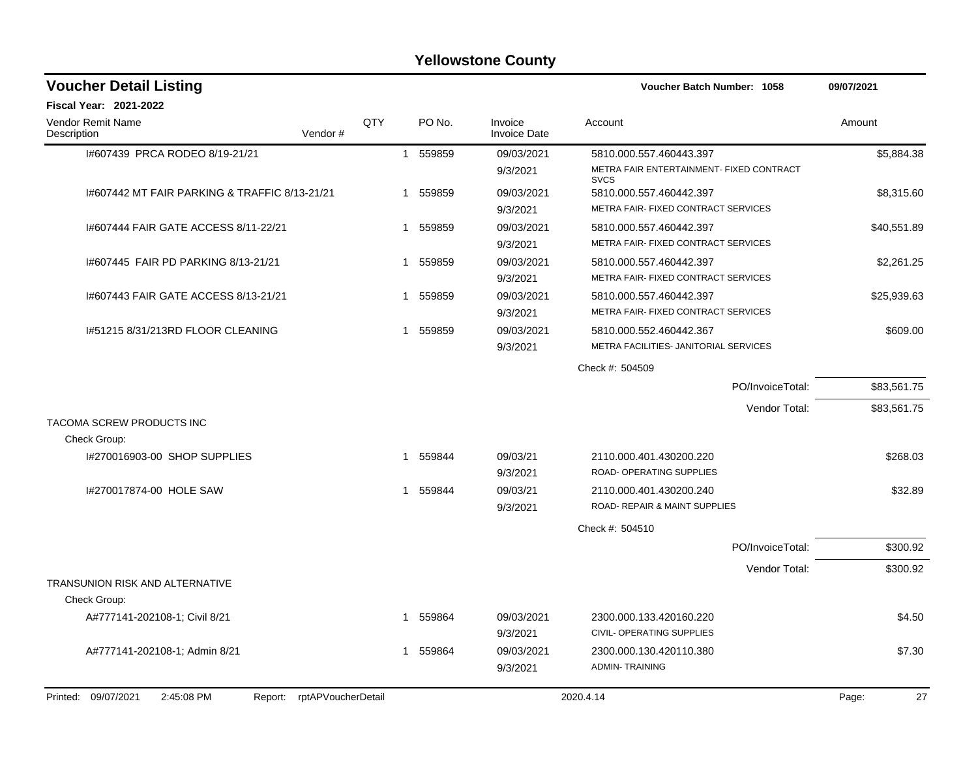| <b>Voucher Detail Listing</b>                                   |             |          |                                | Voucher Batch Number: 1058                                       | 09/07/2021  |
|-----------------------------------------------------------------|-------------|----------|--------------------------------|------------------------------------------------------------------|-------------|
| <b>Fiscal Year: 2021-2022</b>                                   |             |          |                                |                                                                  |             |
| <b>Vendor Remit Name</b><br>Vendor#<br>Description              | QTY         | PO No.   | Invoice<br><b>Invoice Date</b> | Account                                                          | Amount      |
| 1#607439 PRCA RODEO 8/19-21/21                                  |             | 1 559859 | 09/03/2021                     | 5810.000.557.460443.397                                          | \$5,884.38  |
|                                                                 |             |          | 9/3/2021                       | METRA FAIR ENTERTAINMENT- FIXED CONTRACT<br><b>SVCS</b>          |             |
| 1#607442 MT FAIR PARKING & TRAFFIC 8/13-21/21                   | -1          | 559859   | 09/03/2021                     | 5810.000.557.460442.397                                          | \$8,315.60  |
|                                                                 |             |          | 9/3/2021                       | METRA FAIR- FIXED CONTRACT SERVICES                              |             |
| 1#607444 FAIR GATE ACCESS 8/11-22/21                            | -1          | 559859   | 09/03/2021                     | 5810.000.557.460442.397                                          | \$40,551.89 |
|                                                                 |             |          | 9/3/2021                       | METRA FAIR- FIXED CONTRACT SERVICES                              |             |
| 1#607445 FAIR PD PARKING 8/13-21/21                             | -1          | 559859   | 09/03/2021                     | 5810.000.557.460442.397                                          | \$2,261.25  |
|                                                                 |             |          | 9/3/2021                       | METRA FAIR- FIXED CONTRACT SERVICES                              |             |
| 1#607443 FAIR GATE ACCESS 8/13-21/21                            | -1          | 559859   | 09/03/2021                     | 5810.000.557.460442.397                                          | \$25,939.63 |
|                                                                 |             |          | 9/3/2021                       | METRA FAIR- FIXED CONTRACT SERVICES                              |             |
| 1#51215 8/31/213RD FLOOR CLEANING                               | -1          | 559859   | 09/03/2021<br>9/3/2021         | 5810.000.552.460442.367<br>METRA FACILITIES- JANITORIAL SERVICES | \$609.00    |
|                                                                 |             |          |                                |                                                                  |             |
|                                                                 |             |          |                                | Check #: 504509                                                  |             |
|                                                                 |             |          |                                | PO/InvoiceTotal:                                                 | \$83,561.75 |
|                                                                 |             |          |                                | Vendor Total:                                                    | \$83,561.75 |
| TACOMA SCREW PRODUCTS INC<br>Check Group:                       |             |          |                                |                                                                  |             |
| I#270016903-00 SHOP SUPPLIES                                    | $\mathbf 1$ | 559844   | 09/03/21                       | 2110.000.401.430200.220                                          | \$268.03    |
|                                                                 |             |          | 9/3/2021                       | <b>ROAD- OPERATING SUPPLIES</b>                                  |             |
| 1#270017874-00 HOLE SAW                                         | 1           | 559844   | 09/03/21                       | 2110.000.401.430200.240                                          | \$32.89     |
|                                                                 |             |          | 9/3/2021                       | <b>ROAD- REPAIR &amp; MAINT SUPPLIES</b>                         |             |
|                                                                 |             |          |                                | Check #: 504510                                                  |             |
|                                                                 |             |          |                                | PO/InvoiceTotal:                                                 | \$300.92    |
|                                                                 |             |          |                                | Vendor Total:                                                    | \$300.92    |
| <b>TRANSUNION RISK AND ALTERNATIVE</b>                          |             |          |                                |                                                                  |             |
| Check Group:                                                    |             |          |                                |                                                                  |             |
| A#777141-202108-1; Civil 8/21                                   | -1          | 559864   | 09/03/2021                     | 2300.000.133.420160.220                                          | \$4.50      |
|                                                                 |             |          | 9/3/2021                       | CIVIL- OPERATING SUPPLIES                                        |             |
| A#777141-202108-1; Admin 8/21                                   | 1           | 559864   | 09/03/2021                     | 2300.000.130.420110.380                                          | \$7.30      |
|                                                                 |             |          | 9/3/2021                       | <b>ADMIN-TRAINING</b>                                            |             |
| Printed: 09/07/2021<br>2:45:08 PM<br>Report: rptAPVoucherDetail |             |          |                                | 2020.4.14                                                        | 27<br>Page: |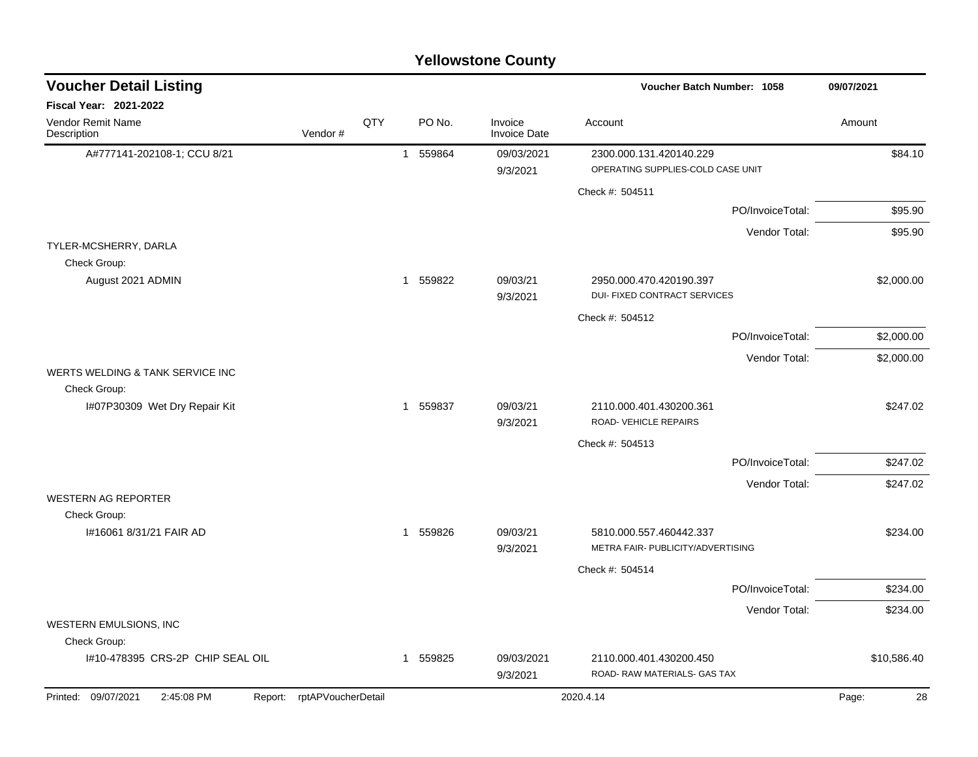|                                               |                            |     |                        | <b>Yellowstone County</b> |                                                              |                  |             |
|-----------------------------------------------|----------------------------|-----|------------------------|---------------------------|--------------------------------------------------------------|------------------|-------------|
| <b>Voucher Detail Listing</b>                 |                            |     |                        |                           | Voucher Batch Number: 1058                                   |                  | 09/07/2021  |
| Fiscal Year: 2021-2022                        |                            |     |                        |                           |                                                              |                  |             |
| Vendor Remit Name<br>Description              | Vendor#                    | QTY | PO No.                 | Invoice<br>Invoice Date   | Account                                                      |                  | Amount      |
| A#777141-202108-1; CCU 8/21                   |                            |     | 559864<br>$\mathbf{1}$ | 09/03/2021<br>9/3/2021    | 2300.000.131.420140.229<br>OPERATING SUPPLIES-COLD CASE UNIT |                  | \$84.10     |
|                                               |                            |     |                        |                           | Check #: 504511                                              |                  |             |
|                                               |                            |     |                        |                           |                                                              | PO/InvoiceTotal: | \$95.90     |
|                                               |                            |     |                        |                           |                                                              | Vendor Total:    | \$95.90     |
| TYLER-MCSHERRY, DARLA<br>Check Group:         |                            |     |                        |                           |                                                              |                  |             |
| August 2021 ADMIN                             |                            |     | 559822<br>1            | 09/03/21<br>9/3/2021      | 2950.000.470.420190.397<br>DUI- FIXED CONTRACT SERVICES      |                  | \$2,000.00  |
|                                               |                            |     |                        |                           | Check #: 504512                                              |                  |             |
|                                               |                            |     |                        |                           |                                                              | PO/InvoiceTotal: | \$2,000.00  |
|                                               |                            |     |                        |                           |                                                              | Vendor Total:    | \$2,000.00  |
| WERTS WELDING & TANK SERVICE INC              |                            |     |                        |                           |                                                              |                  |             |
| Check Group:<br>I#07P30309 Wet Dry Repair Kit |                            |     | 559837<br>1            | 09/03/21<br>9/3/2021      | 2110.000.401.430200.361<br>ROAD- VEHICLE REPAIRS             |                  | \$247.02    |
|                                               |                            |     |                        |                           | Check #: 504513                                              |                  |             |
|                                               |                            |     |                        |                           |                                                              | PO/InvoiceTotal: | \$247.02    |
|                                               |                            |     |                        |                           |                                                              | Vendor Total:    | \$247.02    |
| <b>WESTERN AG REPORTER</b>                    |                            |     |                        |                           |                                                              |                  |             |
| Check Group:<br>I#16061 8/31/21 FAIR AD       |                            |     | 1 559826               | 09/03/21                  | 5810.000.557.460442.337                                      |                  | \$234.00    |
|                                               |                            |     |                        | 9/3/2021                  | METRA FAIR- PUBLICITY/ADVERTISING                            |                  |             |
|                                               |                            |     |                        |                           | Check #: 504514                                              |                  |             |
|                                               |                            |     |                        |                           |                                                              | PO/InvoiceTotal: | \$234.00    |
|                                               |                            |     |                        |                           |                                                              | Vendor Total:    | \$234.00    |
| WESTERN EMULSIONS, INC<br>Check Group:        |                            |     |                        |                           |                                                              |                  |             |
| I#10-478395 CRS-2P CHIP SEAL OIL              |                            |     | 1 559825               | 09/03/2021<br>9/3/2021    | 2110.000.401.430200.450<br>ROAD- RAW MATERIALS- GAS TAX      |                  | \$10,586.40 |
| Printed: 09/07/2021<br>2:45:08 PM             | Report: rptAPVoucherDetail |     |                        |                           | 2020.4.14                                                    |                  | Page:<br>28 |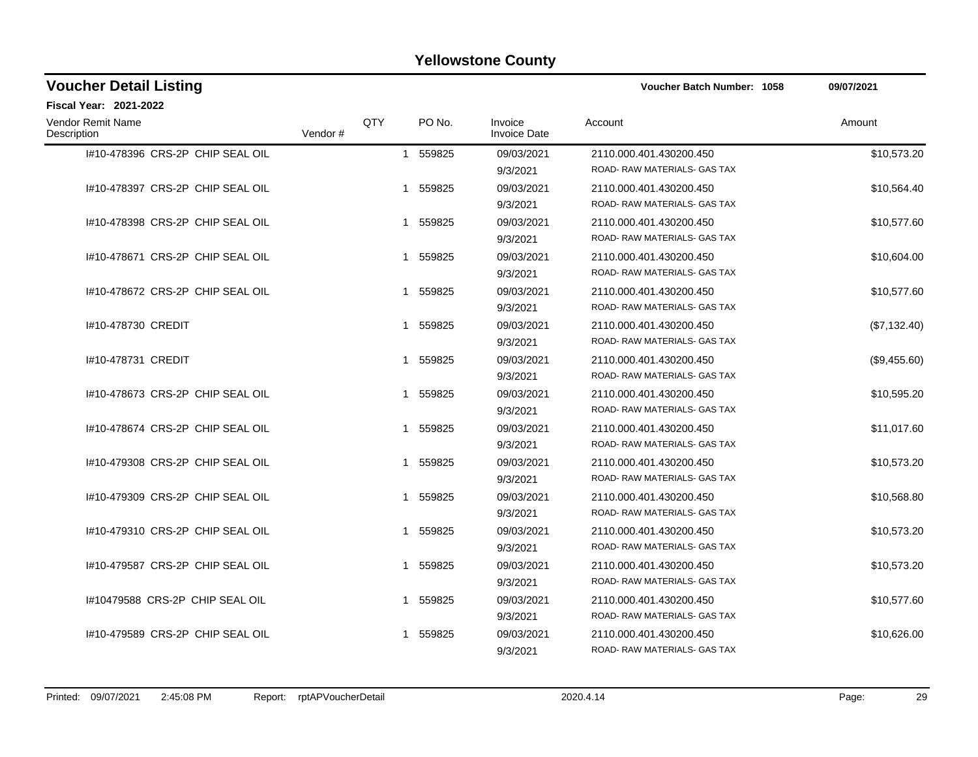| <b>Voucher Detail Listing</b>    |         |     |                        |                                | Voucher Batch Number: 1058                              | 09/07/2021   |
|----------------------------------|---------|-----|------------------------|--------------------------------|---------------------------------------------------------|--------------|
| <b>Fiscal Year: 2021-2022</b>    |         |     |                        |                                |                                                         |              |
| Vendor Remit Name<br>Description | Vendor# | QTY | PO No.                 | Invoice<br><b>Invoice Date</b> | Account                                                 | Amount       |
| I#10-478396 CRS-2P CHIP SEAL OIL |         |     | 559825<br>$\mathbf{1}$ | 09/03/2021<br>9/3/2021         | 2110.000.401.430200.450<br>ROAD-RAW MATERIALS- GAS TAX  | \$10,573.20  |
| I#10-478397 CRS-2P CHIP SEAL OIL |         |     | 559825<br>1            | 09/03/2021<br>9/3/2021         | 2110.000.401.430200.450<br>ROAD- RAW MATERIALS- GAS TAX | \$10,564.40  |
| #10-478398 CRS-2P CHIP SEAL OIL  |         |     | 559825<br>1            | 09/03/2021<br>9/3/2021         | 2110.000.401.430200.450<br>ROAD-RAW MATERIALS-GAS TAX   | \$10,577.60  |
| I#10-478671 CRS-2P CHIP SEAL OIL |         |     | 559825<br>1            | 09/03/2021<br>9/3/2021         | 2110.000.401.430200.450<br>ROAD- RAW MATERIALS- GAS TAX | \$10,604.00  |
| I#10-478672 CRS-2P CHIP SEAL OIL |         |     | 559825<br>1            | 09/03/2021<br>9/3/2021         | 2110.000.401.430200.450<br>ROAD- RAW MATERIALS- GAS TAX | \$10,577.60  |
| #10-478730 CREDIT                |         |     | 559825<br>1            | 09/03/2021<br>9/3/2021         | 2110.000.401.430200.450<br>ROAD- RAW MATERIALS- GAS TAX | (\$7,132.40) |
| #10-478731 CREDIT                |         |     | 559825<br>1            | 09/03/2021<br>9/3/2021         | 2110.000.401.430200.450<br>ROAD-RAW MATERIALS- GAS TAX  | (\$9,455.60) |
| 1#10-478673 CRS-2P CHIP SEAL OIL |         |     | 559825<br>1            | 09/03/2021<br>9/3/2021         | 2110.000.401.430200.450<br>ROAD- RAW MATERIALS- GAS TAX | \$10,595.20  |
| #10-478674 CRS-2P CHIP SEAL OIL  |         |     | 559825<br>1            | 09/03/2021<br>9/3/2021         | 2110.000.401.430200.450<br>ROAD- RAW MATERIALS- GAS TAX | \$11,017.60  |
| #10-479308 CRS-2P CHIP SEAL OIL  |         |     | 559825<br>1            | 09/03/2021<br>9/3/2021         | 2110.000.401.430200.450<br>ROAD- RAW MATERIALS- GAS TAX | \$10,573.20  |
| I#10-479309 CRS-2P CHIP SEAL OIL |         |     | 559825<br>1            | 09/03/2021<br>9/3/2021         | 2110.000.401.430200.450<br>ROAD- RAW MATERIALS- GAS TAX | \$10,568.80  |
| I#10-479310 CRS-2P CHIP SEAL OIL |         |     | 559825<br>1            | 09/03/2021<br>9/3/2021         | 2110.000.401.430200.450<br>ROAD- RAW MATERIALS- GAS TAX | \$10,573.20  |
| I#10-479587 CRS-2P CHIP SEAL OIL |         |     | 559825<br>1            | 09/03/2021<br>9/3/2021         | 2110.000.401.430200.450<br>ROAD- RAW MATERIALS- GAS TAX | \$10,573.20  |
| 1#10479588 CRS-2P CHIP SEAL OIL  |         |     | 559825<br>1            | 09/03/2021<br>9/3/2021         | 2110.000.401.430200.450<br>ROAD- RAW MATERIALS- GAS TAX | \$10,577.60  |
| 1#10-479589 CRS-2P CHIP SEAL OIL |         |     | 559825<br>1            | 09/03/2021<br>9/3/2021         | 2110.000.401.430200.450<br>ROAD-RAW MATERIALS- GAS TAX  | \$10,626.00  |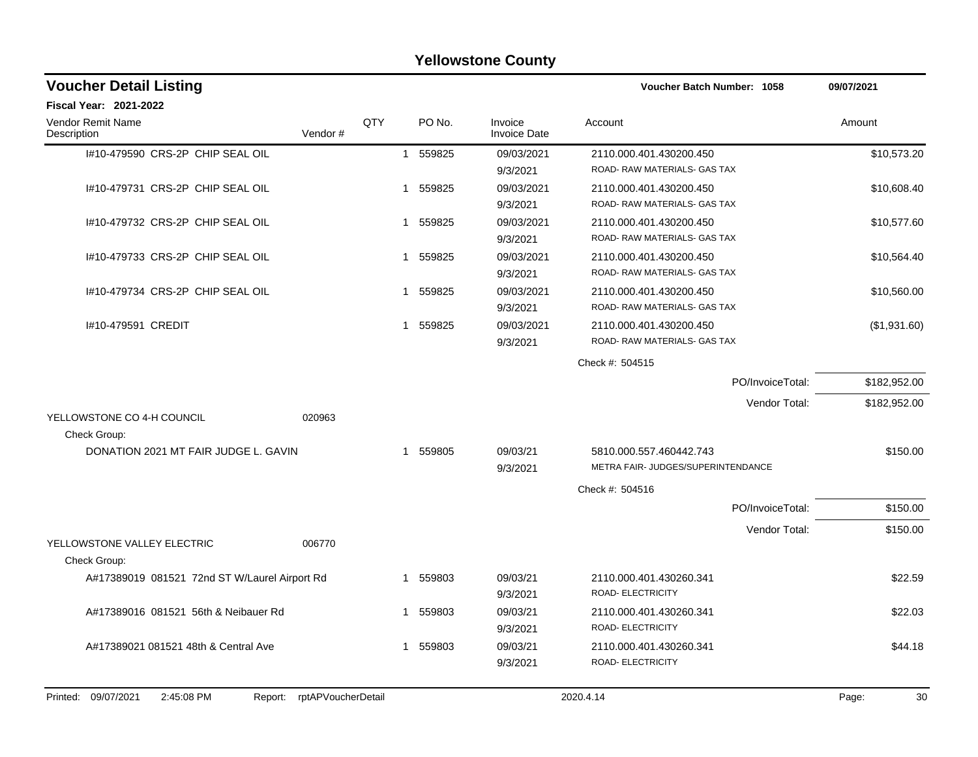|                                               |                            |              |          | <b>Yellowstone County</b> |                                    |                  |              |
|-----------------------------------------------|----------------------------|--------------|----------|---------------------------|------------------------------------|------------------|--------------|
| <b>Voucher Detail Listing</b>                 |                            |              |          |                           | <b>Voucher Batch Number: 1058</b>  |                  | 09/07/2021   |
| <b>Fiscal Year: 2021-2022</b>                 |                            |              |          |                           |                                    |                  |              |
| <b>Vendor Remit Name</b><br>Description       | Vendor#                    | QTY          | PO No.   | Invoice<br>Invoice Date   | Account                            |                  | Amount       |
| I#10-479590 CRS-2P CHIP SEAL OIL              |                            | $\mathbf{1}$ | 559825   | 09/03/2021                | 2110.000.401.430200.450            |                  | \$10,573.20  |
|                                               |                            |              |          | 9/3/2021                  | ROAD-RAW MATERIALS- GAS TAX        |                  |              |
| 1#10-479731 CRS-2P CHIP SEAL OIL              |                            | 1            | 559825   | 09/03/2021                | 2110.000.401.430200.450            |                  | \$10,608.40  |
|                                               |                            |              |          | 9/3/2021                  | ROAD-RAW MATERIALS- GAS TAX        |                  |              |
| 1#10-479732 CRS-2P CHIP SEAL OIL              |                            | 1            | 559825   | 09/03/2021                | 2110.000.401.430200.450            |                  | \$10,577.60  |
|                                               |                            |              |          | 9/3/2021                  | ROAD-RAW MATERIALS- GAS TAX        |                  |              |
| #10-479733 CRS-2P CHIP SEAL OIL               |                            | 1            | 559825   | 09/03/2021                | 2110.000.401.430200.450            |                  | \$10,564.40  |
|                                               |                            |              |          | 9/3/2021                  | ROAD-RAW MATERIALS- GAS TAX        |                  |              |
| I#10-479734 CRS-2P CHIP SEAL OIL              |                            | 1            | 559825   | 09/03/2021                | 2110.000.401.430200.450            |                  | \$10,560.00  |
|                                               |                            |              |          | 9/3/2021                  | ROAD-RAW MATERIALS-GAS TAX         |                  |              |
| I#10-479591 CREDIT                            |                            | 1            | 559825   | 09/03/2021                | 2110.000.401.430200.450            |                  | (\$1,931.60) |
|                                               |                            |              |          | 9/3/2021                  | ROAD- RAW MATERIALS- GAS TAX       |                  |              |
|                                               |                            |              |          |                           | Check #: 504515                    |                  |              |
|                                               |                            |              |          |                           |                                    | PO/InvoiceTotal: | \$182,952.00 |
|                                               |                            |              |          |                           |                                    | Vendor Total:    | \$182,952.00 |
| YELLOWSTONE CO 4-H COUNCIL<br>Check Group:    | 020963                     |              |          |                           |                                    |                  |              |
| DONATION 2021 MT FAIR JUDGE L. GAVIN          |                            | 1            | 559805   | 09/03/21                  | 5810.000.557.460442.743            |                  | \$150.00     |
|                                               |                            |              |          | 9/3/2021                  | METRA FAIR- JUDGES/SUPERINTENDANCE |                  |              |
|                                               |                            |              |          |                           | Check #: 504516                    |                  |              |
|                                               |                            |              |          |                           |                                    | PO/InvoiceTotal: | \$150.00     |
|                                               |                            |              |          |                           |                                    | Vendor Total:    | \$150.00     |
| YELLOWSTONE VALLEY ELECTRIC                   | 006770                     |              |          |                           |                                    |                  |              |
| Check Group:                                  |                            |              |          |                           |                                    |                  |              |
| A#17389019 081521 72nd ST W/Laurel Airport Rd |                            | 1            | 559803   | 09/03/21                  | 2110.000.401.430260.341            |                  | \$22.59      |
|                                               |                            |              |          | 9/3/2021                  | ROAD- ELECTRICITY                  |                  |              |
| A#17389016 081521 56th & Neibauer Rd          |                            |              | 1 559803 | 09/03/21                  | 2110.000.401.430260.341            |                  | \$22.03      |
|                                               |                            |              |          | 9/3/2021                  | <b>ROAD- ELECTRICITY</b>           |                  |              |
| A#17389021 081521 48th & Central Ave          |                            |              | 1 559803 | 09/03/21                  | 2110.000.401.430260.341            |                  | \$44.18      |
|                                               |                            |              |          | 9/3/2021                  | ROAD- ELECTRICITY                  |                  |              |
| Printed: 09/07/2021<br>2:45:08 PM             | Report: rptAPVoucherDetail |              |          |                           | 2020.4.14                          |                  | Page:<br>30  |
|                                               |                            |              |          |                           |                                    |                  |              |